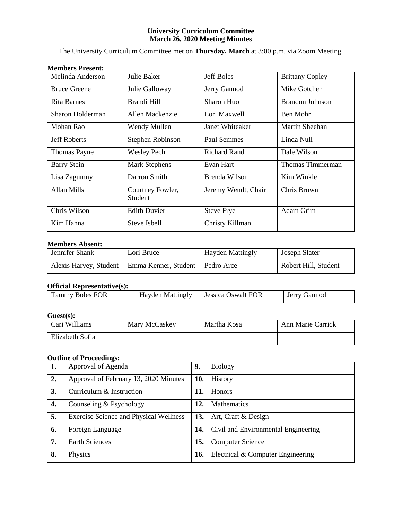# **University Curriculum Committee March 26, 2020 Meeting Minutes**

The University Curriculum Committee met on **Thursday, March** at 3:00 p.m. via Zoom Meeting.

# **Members Present:**

| Melinda Anderson    | Julie Baker                 | <b>Jeff Boles</b>   | <b>Brittany Copley</b> |
|---------------------|-----------------------------|---------------------|------------------------|
| <b>Bruce Greene</b> | Julie Galloway              | Jerry Gannod        | Mike Gotcher           |
| Rita Barnes         | Brandi Hill                 | Sharon Huo          | <b>Brandon Johnson</b> |
| Sharon Holderman    | Allen Mackenzie             | Lori Maxwell        | Ben Mohr               |
| Mohan Rao           | Wendy Mullen                | Janet Whiteaker     | Martin Sheehan         |
| <b>Jeff Roberts</b> | Stephen Robinson            | <b>Paul Semmes</b>  | Linda Null             |
| Thomas Payne        | <b>Wesley Pech</b>          | <b>Richard Rand</b> | Dale Wilson            |
| <b>Barry Stein</b>  | <b>Mark Stephens</b>        | Evan Hart           | Thomas Timmerman       |
| Lisa Zagumny        | Darron Smith                | Brenda Wilson       | Kim Winkle             |
| Allan Mills         | Courtney Fowler,<br>Student | Jeremy Wendt, Chair | Chris Brown            |
| Chris Wilson        | <b>Edith Duvier</b>         | <b>Steve Frye</b>   | Adam Grim              |
| Kim Hanna           | Steve Isbell                | Christy Killman     |                        |

# **Members Absent:**

| Jennifer Shank         | Lori Bruce                        | <b>Hayden Mattingly</b> | Joseph Slater        |
|------------------------|-----------------------------------|-------------------------|----------------------|
| Alexis Harvey, Student | Emma Kenner, Student   Pedro Arce |                         | Robert Hill, Student |

# **Official Representative(s):**

| .                      |                                       |              |
|------------------------|---------------------------------------|--------------|
| <b>Tammy Boles FOR</b> | Hayden Mattingly   Jessica Oswalt FOR | Jerry Gannod |

# **Guest(s):**

| Cari Williams   | Mary McCaskey | Martha Kosa | Ann Marie Carrick |
|-----------------|---------------|-------------|-------------------|
| Elizabeth Sofia |               |             |                   |

# **Outline of Proceedings:**

| 1. | Approval of Agenda                     | 9.  | <b>Biology</b>                      |
|----|----------------------------------------|-----|-------------------------------------|
| 2. | Approval of February 13, 2020 Minutes  | 10. | History                             |
| 3. | Curriculum & Instruction               | 11. | <b>Honors</b>                       |
| 4. | Counseling & Psychology                | 12. | <b>Mathematics</b>                  |
| 5. | Exercise Science and Physical Wellness | 13. | Art, Craft & Design                 |
| 6. | Foreign Language                       | 14. | Civil and Environmental Engineering |
| 7. | <b>Earth Sciences</b>                  | 15. | <b>Computer Science</b>             |
| 8. | Physics                                | 16. | Electrical & Computer Engineering   |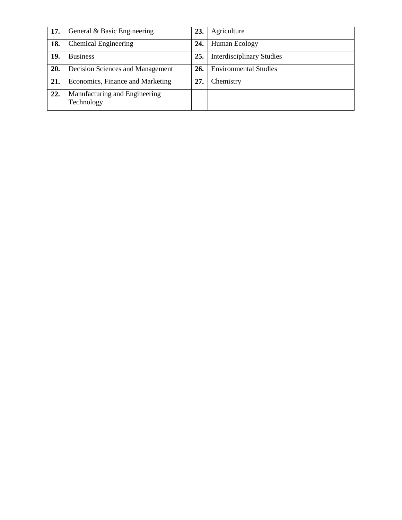| 17. | General & Basic Engineering                 | 23. | Agriculture                      |
|-----|---------------------------------------------|-----|----------------------------------|
| 18. | <b>Chemical Engineering</b>                 | 24. | Human Ecology                    |
| 19. | <b>Business</b>                             | 25. | <b>Interdisciplinary Studies</b> |
| 20. | Decision Sciences and Management            | 26  | <b>Environmental Studies</b>     |
| 21. | Economics, Finance and Marketing            | 27  | Chemistry                        |
| 22. | Manufacturing and Engineering<br>Technology |     |                                  |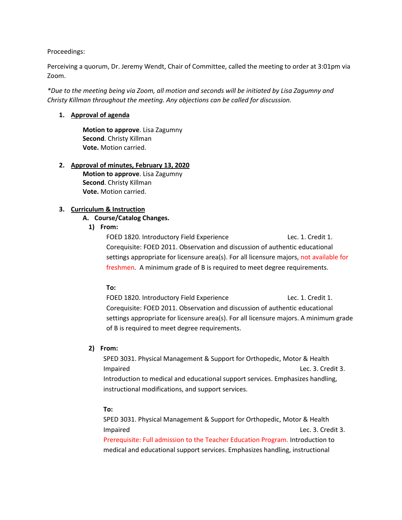Proceedings:

Perceiving a quorum, Dr. Jeremy Wendt, Chair of Committee, called the meeting to order at 3:01pm via Zoom.

*\*Due to the meeting being via Zoom, all motion and seconds will be initiated by Lisa Zagumny and Christy Killman throughout the meeting. Any objections can be called for discussion.* 

# **1. Approval of agenda**

**Motion to approve**. Lisa Zagumny **Second**. Christy Killman **Vote.** Motion carried.

## **2. Approval of minutes, February 13, 2020**

**Motion to approve**. Lisa Zagumny **Second**. Christy Killman **Vote.** Motion carried.

# **3. Curriculum & Instruction**

# **A. Course/Catalog Changes.**

# **1) From:**

FOED 1820. Introductory Field Experience Lec. 1. Credit 1. Corequisite: FOED 2011. Observation and discussion of authentic educational settings appropriate for licensure area(s). For all licensure majors, not available for freshmen. A minimum grade of B is required to meet degree requirements.

# **To:**

FOED 1820. Introductory Field Experience Lec. 1. Credit 1. Corequisite: FOED 2011. Observation and discussion of authentic educational settings appropriate for licensure area(s). For all licensure majors. A minimum grade of B is required to meet degree requirements.

# **2) From:**

SPED 3031. Physical Management & Support for Orthopedic, Motor & Health Impaired Lec. 3. Credit 3. Introduction to medical and educational support services. Emphasizes handling, instructional modifications, and support services.

# **To:**

SPED 3031. Physical Management & Support for Orthopedic, Motor & Health Impaired Lec. 3. Credit 3. Prerequisite: Full admission to the Teacher Education Program. Introduction to medical and educational support services. Emphasizes handling, instructional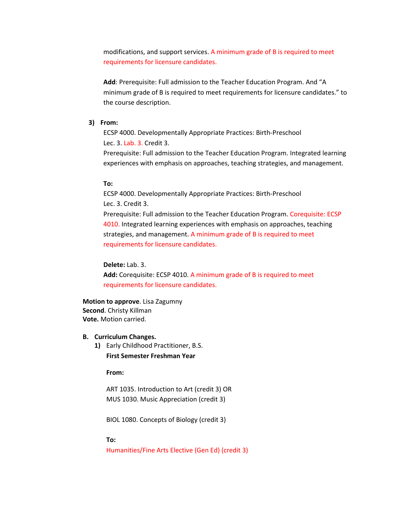modifications, and support services. A minimum grade of B is required to meet requirements for licensure candidates.

**Add**: Prerequisite: Full admission to the Teacher Education Program. And "A minimum grade of B is required to meet requirements for licensure candidates." to the course description.

# **3) From:**

ECSP 4000. Developmentally Appropriate Practices: Birth-Preschool Lec. 3. Lab. 3. Credit 3.

Prerequisite: Full admission to the Teacher Education Program. Integrated learning experiences with emphasis on approaches, teaching strategies, and management.

# **To:**

ECSP 4000. Developmentally Appropriate Practices: Birth-Preschool Lec. 3. Credit 3. Prerequisite: Full admission to the Teacher Education Program. Corequisite: ECSP 4010. Integrated learning experiences with emphasis on approaches, teaching strategies, and management. A minimum grade of B is required to meet requirements for licensure candidates.

#### **Delete:** Lab. 3.

**Add:** Corequisite: ECSP 4010. A minimum grade of B is required to meet requirements for licensure candidates.

### **Motion to approve**. Lisa Zagumny **Second**. Christy Killman **Vote.** Motion carried.

## **B. Curriculum Changes.**

**1)** Early Childhood Practitioner, B.S. **First Semester Freshman Year**

**From:**

ART 1035. Introduction to Art (credit 3) OR MUS 1030. Music Appreciation (credit 3)

BIOL 1080. Concepts of Biology (credit 3)

#### **To:**

Humanities/Fine Arts Elective (Gen Ed) (credit 3)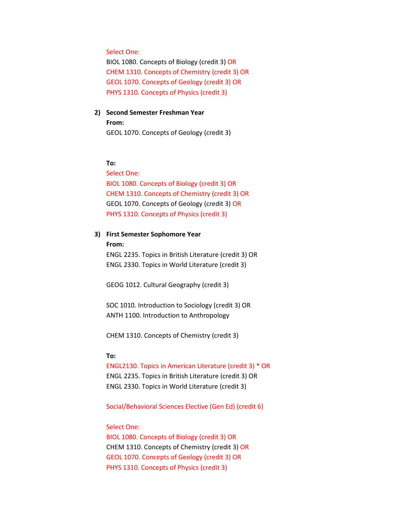# Select One:

BIOL 1080. Concepts of Biology (credit 3) OR CHEM 1310. Concepts of Chemistry (credit 3) OR GEOL 1070. Concepts of Geology (credit 3) OR PHYS 1310. Concepts of Physics (credit 3)

# **2) Second Semester Freshman Year From:**

GEOL 1070. Concepts of Geology (credit 3)

# **To:**

Select One: BIOL 1080. Concepts of Biology (credit 3) OR CHEM 1310. Concepts of Chemistry (credit 3) OR GEOL 1070. Concepts of Geology (credit 3) OR PHYS 1310. Concepts of Physics (credit 3)

# **3) First Semester Sophomore Year**

**From:**

ENGL 2235. Topics in British Literature (credit 3) OR ENGL 2330. Topics in World Literature (credit 3)

GEOG 1012. Cultural Geography (credit 3)

SOC 1010. Introduction to Sociology (credit 3) OR ANTH 1100. Introduction to Anthropology

CHEM 1310. Concepts of Chemistry (credit 3)

### **To:**

ENGL2130. Topics in American Literature (credit 3) \* OR ENGL 2235. Topics in British Literature (credit 3) OR ENGL 2330. Topics in World Literature (credit 3)

Social/Behavioral Sciences Elective (Gen Ed) (credit 6)

# Select One:

BIOL 1080. Concepts of Biology (credit 3) OR CHEM 1310. Concepts of Chemistry (credit 3) OR GEOL 1070. Concepts of Geology (credit 3) OR PHYS 1310. Concepts of Physics (credit 3)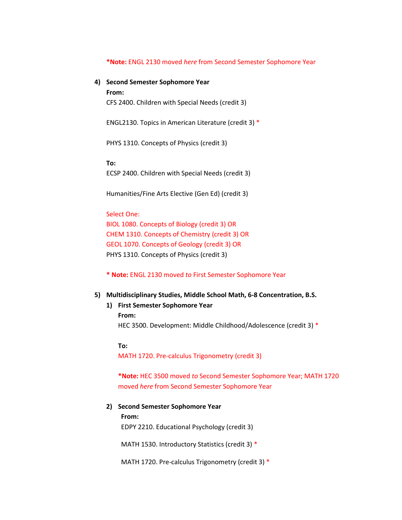#### **\*Note:** ENGL 2130 moved *here* from Second Semester Sophomore Year

**4) Second Semester Sophomore Year**

**From:**

CFS 2400. Children with Special Needs (credit 3)

ENGL2130. Topics in American Literature (credit 3) \*

PHYS 1310. Concepts of Physics (credit 3)

**To:** ECSP 2400. Children with Special Needs (credit 3)

Humanities/Fine Arts Elective (Gen Ed) (credit 3)

# Select One:

BIOL 1080. Concepts of Biology (credit 3) OR CHEM 1310. Concepts of Chemistry (credit 3) OR GEOL 1070. Concepts of Geology (credit 3) OR PHYS 1310. Concepts of Physics (credit 3)

**\* Note:** ENGL 2130 moved *to* First Semester Sophomore Year

## **5) Multidisciplinary Studies, Middle School Math, 6-8 Concentration, B.S.**

# **1) First Semester Sophomore Year**

**From:**

HEC 3500. Development: Middle Childhood/Adolescence (credit 3) \*

**To:**

MATH 1720. Pre-calculus Trigonometry (credit 3)

**\*Note:** HEC 3500 moved *to* Second Semester Sophomore Year; MATH 1720 moved *here* from Second Semester Sophomore Year

# **2) Second Semester Sophomore Year**

**From:**

EDPY 2210. Educational Psychology (credit 3)

MATH 1530. Introductory Statistics (credit 3) \*

MATH 1720. Pre-calculus Trigonometry (credit 3) \*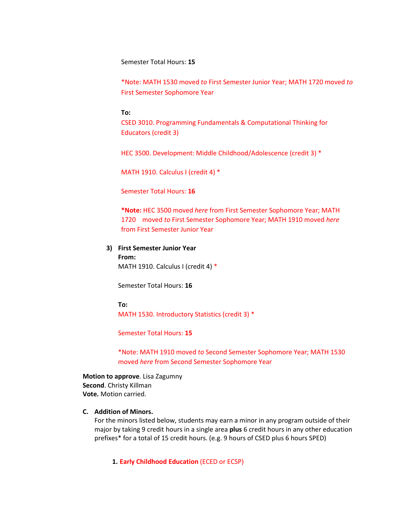Semester Total Hours: **15**

\*Note: MATH 1530 moved *to* First Semester Junior Year; MATH 1720 moved *to* First Semester Sophomore Year

#### **To:**

CSED 3010. Programming Fundamentals & Computational Thinking for Educators (credit 3)

HEC 3500. Development: Middle Childhood/Adolescence (credit 3) \*

MATH 1910. Calculus I (credit 4) \*

Semester Total Hours: **16**

**\*Note:** HEC 3500 moved *here* from First Semester Sophomore Year; MATH 1720 moved *to* First Semester Sophomore Year; MATH 1910 moved *here* from First Semester Junior Year

**3) First Semester Junior Year From:** MATH 1910. Calculus I (credit 4) \*

Semester Total Hours: **16**

#### **To:**

MATH 1530. Introductory Statistics (credit 3) \*

Semester Total Hours: **15**

\*Note: MATH 1910 moved *to* Second Semester Sophomore Year; MATH 1530 moved *here* from Second Semester Sophomore Year

**Motion to approve**. Lisa Zagumny **Second**. Christy Killman **Vote.** Motion carried.

# **C. Addition of Minors.**

For the minors listed below, students may earn a minor in any program outside of their major by taking 9 credit hours in a single area **plus** 6 credit hours in any other education prefixes\* for a total of 15 credit hours. (e.g. 9 hours of CSED plus 6 hours SPED)

**1. Early Childhood Education** (ECED or ECSP)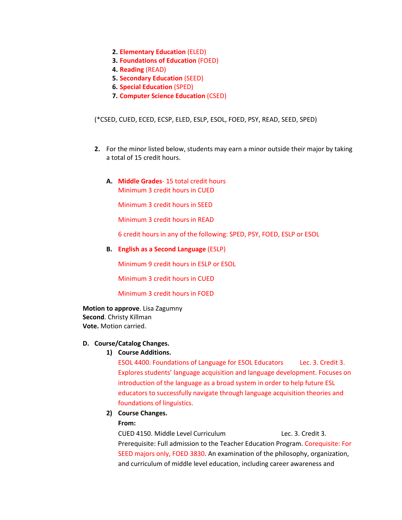- **2. Elementary Education** (ELED)
- **3. Foundations of Education** (FOED)
- **4. Reading** (READ)
- **5. Secondary Education** (SEED)
- **6. Special Education** (SPED)
- **7. Computer Science Education** (CSED)

(\*CSED, CUED, ECED, ECSP, ELED, ESLP, ESOL, FOED, PSY, READ, SEED, SPED)

- **2.** For the minor listed below, students may earn a minor outside their major by taking a total of 15 credit hours.
	- **A. Middle Grades** 15 total credit hours Minimum 3 credit hours in CUED

Minimum 3 credit hours in SEED

Minimum 3 credit hours in READ

6 credit hours in any of the following: SPED, PSY, FOED, ESLP or ESOL

**B. English as a Second Language** (ESLP)

Minimum 9 credit hours in ESLP or ESOL

Minimum 3 credit hours in CUED

Minimum 3 credit hours in FOED

**Motion to approve**. Lisa Zagumny **Second**. Christy Killman **Vote.** Motion carried.

# **D. Course/Catalog Changes.**

## **1) Course Additions.**

ESOL 4400. Foundations of Language for ESOL Educators Lec. 3. Credit 3. Explores students' language acquisition and language development. Focuses on introduction of the language as a broad system in order to help future ESL educators to successfully navigate through language acquisition theories and foundations of linguistics.

**2) Course Changes.**

# **From:**

CUED 4150. Middle Level Curriculum Lec. 3. Credit 3. Prerequisite: Full admission to the Teacher Education Program. Corequisite: For SEED majors only, FOED 3830. An examination of the philosophy, organization, and curriculum of middle level education, including career awareness and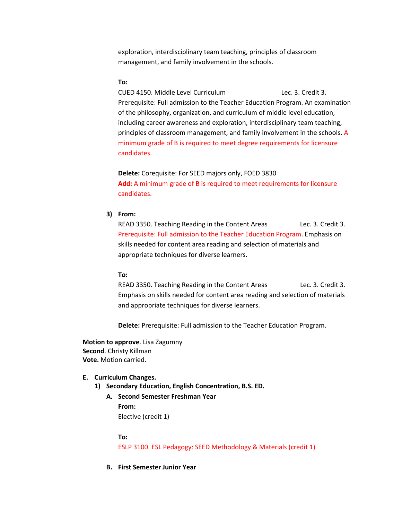exploration, interdisciplinary team teaching, principles of classroom management, and family involvement in the schools.

# **To:**

CUED 4150. Middle Level Curriculum Lec. 3. Credit 3. Prerequisite: Full admission to the Teacher Education Program. An examination of the philosophy, organization, and curriculum of middle level education, including career awareness and exploration, interdisciplinary team teaching, principles of classroom management, and family involvement in the schools. A minimum grade of B is required to meet degree requirements for licensure candidates.

**Delete:** Corequisite: For SEED majors only, FOED 3830 **Add:** A minimum grade of B is required to meet requirements for licensure candidates.

# **3) From:**

READ 3350. Teaching Reading in the Content Areas Lec. 3. Credit 3. Prerequisite: Full admission to the Teacher Education Program. Emphasis on skills needed for content area reading and selection of materials and appropriate techniques for diverse learners.

### **To:**

READ 3350. Teaching Reading in the Content Areas Lec. 3. Credit 3. Emphasis on skills needed for content area reading and selection of materials and appropriate techniques for diverse learners.

**Delete:** Prerequisite: Full admission to the Teacher Education Program.

**Motion to approve**. Lisa Zagumny **Second**. Christy Killman **Vote.** Motion carried.

#### **E. Curriculum Changes.**

- **1) Secondary Education, English Concentration, B.S. ED.**
	- **A. Second Semester Freshman Year From:** Elective (credit 1)

#### **To:**

ESLP 3100. ESL Pedagogy: SEED Methodology & Materials (credit 1)

**B. First Semester Junior Year**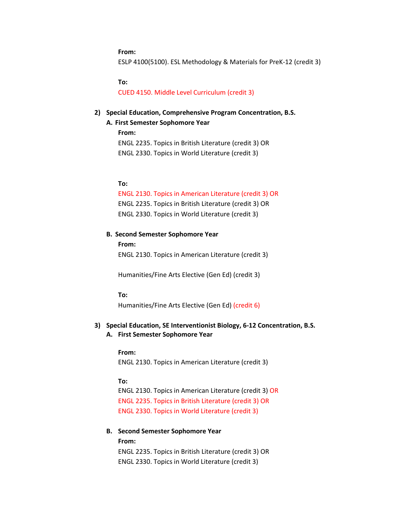#### **From:**

ESLP 4100(5100). ESL Methodology & Materials for PreK-12 (credit 3)

#### **To:**

CUED 4150. Middle Level Curriculum (credit 3)

# **2) Special Education, Comprehensive Program Concentration, B.S.**

### **A. First Semester Sophomore Year**

**From:**

ENGL 2235. Topics in British Literature (credit 3) OR

ENGL 2330. Topics in World Literature (credit 3)

# **To:**

#### ENGL 2130. Topics in American Literature (credit 3) OR

ENGL 2235. Topics in British Literature (credit 3) OR ENGL 2330. Topics in World Literature (credit 3)

#### **B. Second Semester Sophomore Year**

**From:** ENGL 2130. Topics in American Literature (credit 3)

Humanities/Fine Arts Elective (Gen Ed) (credit 3)

#### **To:**

Humanities/Fine Arts Elective (Gen Ed) (credit 6)

# **3) Special Education, SE Interventionist Biology, 6-12 Concentration, B.S. A. First Semester Sophomore Year**

#### **From:**

ENGL 2130. Topics in American Literature (credit 3)

#### **To:**

ENGL 2130. Topics in American Literature (credit 3) OR ENGL 2235. Topics in British Literature (credit 3) OR ENGL 2330. Topics in World Literature (credit 3)

# **B. Second Semester Sophomore Year From:**

ENGL 2235. Topics in British Literature (credit 3) OR ENGL 2330. Topics in World Literature (credit 3)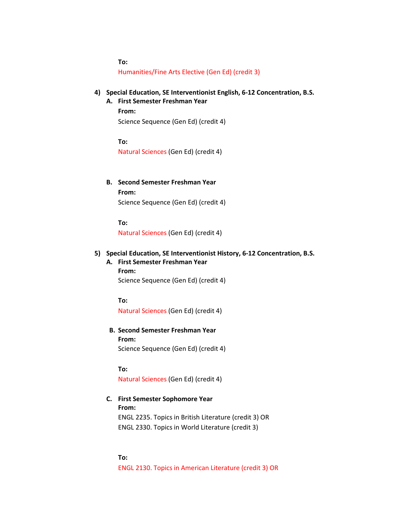**To:** Humanities/Fine Arts Elective (Gen Ed) (credit 3)

- **4) Special Education, SE Interventionist English, 6-12 Concentration, B.S.**
	- **A. First Semester Freshman Year From:** Science Sequence (Gen Ed) (credit 4)

**To:** Natural Sciences (Gen Ed) (credit 4)

**B. Second Semester Freshman Year From:** Science Sequence (Gen Ed) (credit 4)

**To:** Natural Sciences (Gen Ed) (credit 4)

# **5) Special Education, SE Interventionist History, 6-12 Concentration, B.S.**

**A. First Semester Freshman Year From:** Science Sequence (Gen Ed) (credit 4)

**To:**

Natural Sciences (Gen Ed) (credit 4)

**B. Second Semester Freshman Year From:** Science Sequence (Gen Ed) (credit 4)

**To:**

Natural Sciences (Gen Ed) (credit 4)

**C. First Semester Sophomore Year From:**  ENGL 2235. Topics in British Literature (credit 3) OR ENGL 2330. Topics in World Literature (credit 3)

**To:** ENGL 2130. Topics in American Literature (credit 3) OR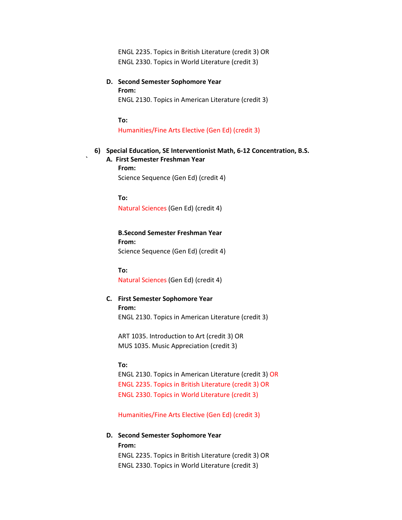ENGL 2235. Topics in British Literature (credit 3) OR ENGL 2330. Topics in World Literature (credit 3)

# **D. Second Semester Sophomore Year From:** ENGL 2130. Topics in American Literature (credit 3)

**To:**

Humanities/Fine Arts Elective (Gen Ed) (credit 3)

# **6) Special Education, SE Interventionist Math, 6-12 Concentration, B.S.**

**` A. First Semester Freshman Year From:** Science Sequence (Gen Ed) (credit 4)

**To:** Natural Sciences (Gen Ed) (credit 4)

**B.Second Semester Freshman Year From:** Science Sequence (Gen Ed) (credit 4)

**To:**

Natural Sciences (Gen Ed) (credit 4)

# **C. First Semester Sophomore Year From:** ENGL 2130. Topics in American Literature (credit 3)

ART 1035. Introduction to Art (credit 3) OR MUS 1035. Music Appreciation (credit 3)

# **To:**

ENGL 2130. Topics in American Literature (credit 3) OR ENGL 2235. Topics in British Literature (credit 3) OR ENGL 2330. Topics in World Literature (credit 3)

Humanities/Fine Arts Elective (Gen Ed) (credit 3)

# **D. Second Semester Sophomore Year From:** ENGL 2235. Topics in British Literature (credit 3) OR

ENGL 2330. Topics in World Literature (credit 3)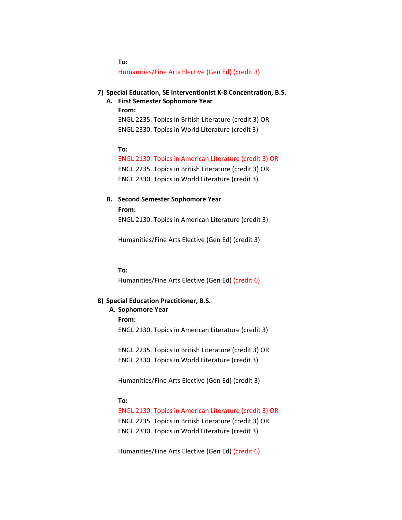**To:** Humanities/Fine Arts Elective (Gen Ed) (credit 3)

## **7) Special Education, SE Interventionist K-8 Concentration, B.S.**

**A. First Semester Sophomore Year From:** ENGL 2235. Topics in British Literature (credit 3) OR ENGL 2330. Topics in World Literature (credit 3)

## **To:**

ENGL 2130. Topics in American Literature (credit 3) OR

ENGL 2235. Topics in British Literature (credit 3) OR ENGL 2330. Topics in World Literature (credit 3)

# **B. Second Semester Sophomore Year From:**

ENGL 2130. Topics in American Literature (credit 3)

Humanities/Fine Arts Elective (Gen Ed) (credit 3)

## **To:**

Humanities/Fine Arts Elective (Gen Ed) (credit 6)

# **8) Special Education Practitioner, B.S.**

**A. Sophomore Year From:**

ENGL 2130. Topics in American Literature (credit 3)

ENGL 2235. Topics in British Literature (credit 3) OR ENGL 2330. Topics in World Literature (credit 3)

Humanities/Fine Arts Elective (Gen Ed) (credit 3)

# **To:**

ENGL 2130. Topics in American Literature (credit 3) OR ENGL 2235. Topics in British Literature (credit 3) OR ENGL 2330. Topics in World Literature (credit 3)

Humanities/Fine Arts Elective (Gen Ed) (credit 6)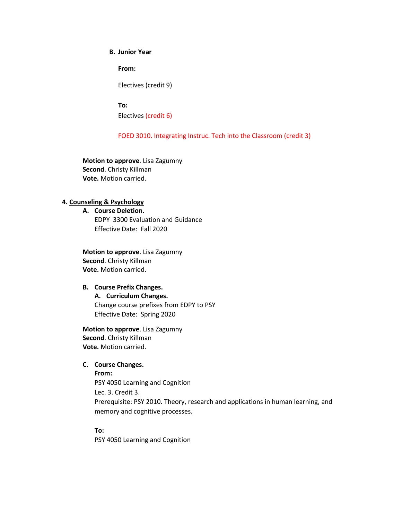# **B. Junior Year**

**From:**

Electives (credit 9)

**To:**

Electives (credit 6)

# FOED 3010. Integrating Instruc. Tech into the Classroom (credit 3)

**Motion to approve**. Lisa Zagumny **Second**. Christy Killman **Vote.** Motion carried.

# **4. Counseling & Psychology**

**A. Course Deletion.** EDPY 3300 Evaluation and Guidance Effective Date: Fall 2020

**Motion to approve**. Lisa Zagumny **Second**. Christy Killman **Vote.** Motion carried.

## **B. Course Prefix Changes.**

**A. Curriculum Changes.** Change course prefixes from EDPY to PSY Effective Date: Spring 2020

**Motion to approve**. Lisa Zagumny **Second**. Christy Killman **Vote.** Motion carried.

# **C. Course Changes.**

**From:** 

PSY 4050 Learning and Cognition Lec. 3. Credit 3. Prerequisite: PSY 2010. Theory, research and applications in human learning, and memory and cognitive processes.

**To:**

PSY 4050 Learning and Cognition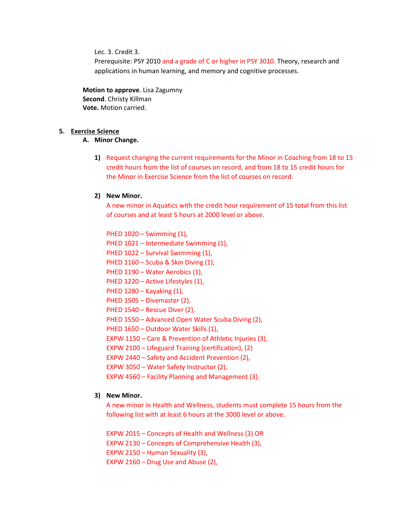Lec. 3. Credit 3.

Prerequisite: PSY 2010 and a grade of C or higher in PSY 3010. Theory, research and applications in human learning, and memory and cognitive processes.

**Motion to approve**. Lisa Zagumny **Second**. Christy Killman **Vote.** Motion carried.

# **5. Exercise Science**

# **A. Minor Change.**

**1)** Request changing the current requirements for the Minor in Coaching from 18 to 15 credit hours from the list of courses on record, and from 18 to 15 credit hours for the Minor in Exercise Science from the list of courses on record.

#### **2) New Minor.**

A new minor in Aquatics with the credit hour requirement of 15 total from this list of courses and at least 5 hours at 2000 level or above.

PHED 1020 – Swimming (1), PHED 1021 – Intermediate Swimming (1), PHED 1022 – Survival Swimming (1), PHED 1160 – Scuba & Skin Diving (1), PHED 1190 – Water Aerobics (1), PHED 1220 – Active Lifestyles (1), PHED 1280 – Kayaking (1), PHED 1505 – Divemaster (2), PHED 1540 – Rescue Diver (2), PHED 1550 – Advanced Open Water Scuba Diving (2), PHED 1650 – Outdoor Water Skills (1), EXPW 1150 – Care & Prevention of Athletic Injuries (3), EXPW 2100 – Lifeguard Training (certification), (2) EXPW 2440 – Safety and Accident Prevention (2), EXPW 3050 – Water Safety Instructor (2), EXPW 4560 – Facility Planning and Management (3).

# **3) New Minor.**

A new minor in Health and Wellness, students must complete 15 hours from the following list with at least 6 hours at the 3000 level or above.

EXPW 2015 – Concepts of Health and Wellness (3) OR EXPW 2130 – Concepts of Comprehensive Health (3), EXPW 2150 – Human Sexuality (3), EXPW 2160 – Drug Use and Abuse (2),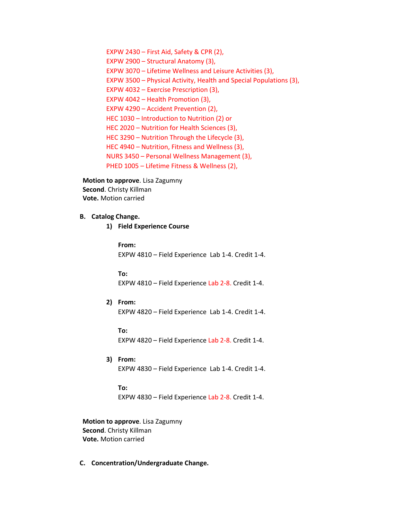EXPW 2430 – First Aid, Safety & CPR (2), EXPW 2900 – Structural Anatomy (3), EXPW 3070 – Lifetime Wellness and Leisure Activities (3), EXPW 3500 – Physical Activity, Health and Special Populations (3), EXPW 4032 – Exercise Prescription (3), EXPW 4042 – Health Promotion (3), EXPW 4290 – Accident Prevention (2), HEC 1030 – Introduction to Nutrition (2) or HEC 2020 – Nutrition for Health Sciences (3), HEC 3290 – Nutrition Through the Lifecycle (3), HEC 4940 – Nutrition, Fitness and Wellness (3), NURS 3450 – Personal Wellness Management (3), PHED 1005 – Lifetime Fitness & Wellness (2),

**Motion to approve**. Lisa Zagumny **Second**. Christy Killman **Vote.** Motion carried

# **B. Catalog Change.**

**1) Field Experience Course**

#### **From:**

EXPW 4810 – Field Experience Lab 1-4. Credit 1-4.

#### **To:**

EXPW 4810 – Field Experience Lab 2-8. Credit 1-4.

**2) From:** EXPW 4820 – Field Experience Lab 1-4. Credit 1-4.

**To:** EXPW 4820 – Field Experience Lab 2-8. Credit 1-4.

**3) From:** EXPW 4830 – Field Experience Lab 1-4. Credit 1-4.

# **To:** EXPW 4830 – Field Experience Lab 2-8. Credit 1-4.

**Motion to approve**. Lisa Zagumny **Second**. Christy Killman **Vote.** Motion carried

**C. Concentration/Undergraduate Change.**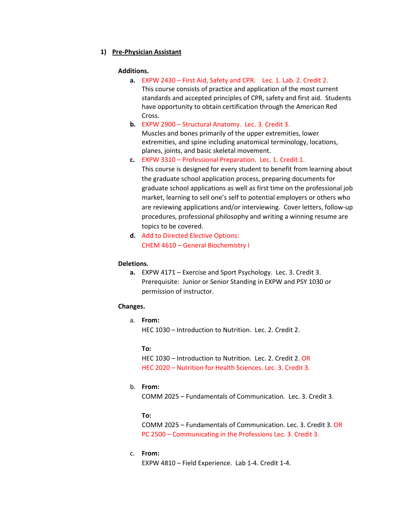# **1) Pre-Physician Assistant**

## **Additions.**

- **a.** EXPW 2430 First Aid, Safety and CPR. Lec. 1. Lab. 2. Credit 2. This course consists of practice and application of the most current standards and accepted principles of CPR, safety and first aid. Students have opportunity to obtain certification through the American Red Cross.
- **b.** EXPW 2900 Structural Anatomy. Lec. 3. Credit 3. Muscles and bones primarily of the upper extremities, lower extremities, and spine including anatomical terminology, locations, planes, joints, and basic skeletal movement.
- **c.** EXPW 3310 Professional Preparation. Lec. 1. Credit 1. This course is designed for every student to benefit from learning about the graduate school application process, preparing documents for graduate school applications as well as first time on the professional job market, learning to sell one's self to potential employers or others who are reviewing applications and/or interviewing. Cover letters, follow-up procedures, professional philosophy and writing a winning resume are topics to be covered.
- **d.** Add to Directed Elective Options: CHEM 4610 – General Biochemistry I

# **Deletions.**

**a.** EXPW 4171 – Exercise and Sport Psychology. Lec. 3. Credit 3. Prerequisite: Junior or Senior Standing in EXPW and PSY 1030 or permission of instructor.

# **Changes.**

a. **From:** HEC 1030 – Introduction to Nutrition. Lec. 2. Credit 2.

## **To:**

HEC 1030 – Introduction to Nutrition. Lec. 2. Credit 2. OR HEC 2020 – Nutrition for Health Sciences. Lec. 3. Credit 3.

# b. **From:**

COMM 2025 – Fundamentals of Communication. Lec. 3. Credit 3.

# **To:**

COMM 2025 – Fundamentals of Communication. Lec. 3. Credit 3. OR PC 2500 – Communicating in the Professions Lec. 3. Credit 3.

c. **From:**

EXPW 4810 – Field Experience. Lab 1-4. Credit 1-4.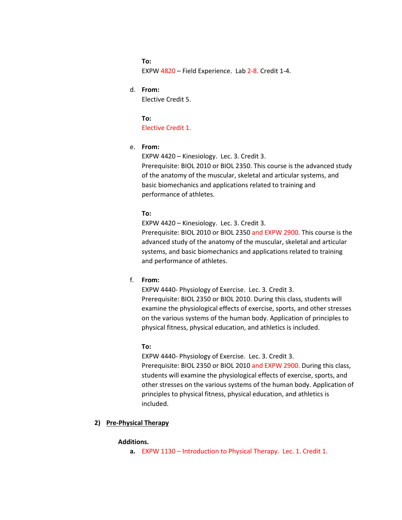**To:** EXPW 4820 – Field Experience. Lab 2-8. Credit 1-4.

d. **From:**

Elective Credit 5.

**To:** Elective Credit 1.

e. **From:**

EXPW 4420 – Kinesiology. Lec. 3. Credit 3.

Prerequisite: [BIOL 2010](http://catalog.tntech.edu/search_advanced.php?cur_cat_oid=27&search_database=Search&search_db=Search&cpage=1&ecpage=1&ppage=1&spage=1&tpage=1&location=33&filter%5Bkeyword%5D=EXPW+4420&filter%5Bexact_match%5D=1#tt6722) or [BIOL 2350.](http://catalog.tntech.edu/search_advanced.php?cur_cat_oid=27&search_database=Search&search_db=Search&cpage=1&ecpage=1&ppage=1&spage=1&tpage=1&location=33&filter%5Bkeyword%5D=EXPW+4420&filter%5Bexact_match%5D=1#tt8661) This course is the advanced study of the anatomy of the muscular, skeletal and articular systems, and basic biomechanics and applications related to training and performance of athletes.

# **To:**

EXPW 4420 – Kinesiology. Lec. 3. Credit 3.

Prerequisite: [BIOL 2010](http://catalog.tntech.edu/search_advanced.php?cur_cat_oid=27&search_database=Search&search_db=Search&cpage=1&ecpage=1&ppage=1&spage=1&tpage=1&location=33&filter%5Bkeyword%5D=EXPW+4420&filter%5Bexact_match%5D=1#tt6722) or [BIOL 2350](http://catalog.tntech.edu/search_advanced.php?cur_cat_oid=27&search_database=Search&search_db=Search&cpage=1&ecpage=1&ppage=1&spage=1&tpage=1&location=33&filter%5Bkeyword%5D=EXPW+4420&filter%5Bexact_match%5D=1#tt8661) and EXPW 2900. This course is the advanced study of the anatomy of the muscular, skeletal and articular systems, and basic biomechanics and applications related to training and performance of athletes.

f. **From:**

EXPW 4440- Physiology of Exercise. Lec. 3. Credit 3. Prerequisite: [BIOL 2350](http://catalog.tntech.edu/search_advanced.php?cur_cat_oid=27&search_database=Search&search_db=Search&cpage=1&ecpage=1&ppage=1&spage=1&tpage=1&location=33&filter%5Bkeyword%5D=EXPW+4440&filter%5Bexact_match%5D=1#tt7667) or [BIOL 2010.](http://catalog.tntech.edu/search_advanced.php?cur_cat_oid=27&search_database=Search&search_db=Search&cpage=1&ecpage=1&ppage=1&spage=1&tpage=1&location=33&filter%5Bkeyword%5D=EXPW+4440&filter%5Bexact_match%5D=1#tt2905) During this class, students will examine the physiological effects of exercise, sports, and other stresses on the various systems of the human body. Application of principles to physical fitness, physical education, and athletics is included.

### **To:**

EXPW 4440- Physiology of Exercise. Lec. 3. Credit 3. Prerequisite: [BIOL 2350](http://catalog.tntech.edu/search_advanced.php?cur_cat_oid=27&search_database=Search&search_db=Search&cpage=1&ecpage=1&ppage=1&spage=1&tpage=1&location=33&filter%5Bkeyword%5D=EXPW+4440&filter%5Bexact_match%5D=1#tt7667) or [BIOL 2010](http://catalog.tntech.edu/search_advanced.php?cur_cat_oid=27&search_database=Search&search_db=Search&cpage=1&ecpage=1&ppage=1&spage=1&tpage=1&location=33&filter%5Bkeyword%5D=EXPW+4440&filter%5Bexact_match%5D=1#tt2905) and EXPW 2900. During this class, students will examine the physiological effects of exercise, sports, and other stresses on the various systems of the human body. Application of principles to physical fitness, physical education, and athletics is included.

# **2) Pre-Physical Therapy**

#### **Additions.**

**a.** EXPW 1130 – Introduction to Physical Therapy. Lec. 1. Credit 1.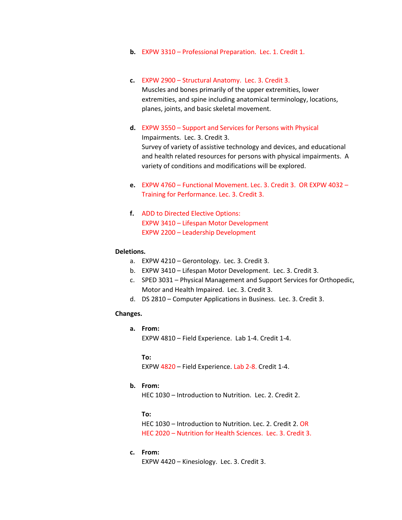- **b.** EXPW 3310 Professional Preparation. Lec. 1. Credit 1.
- **c.** EXPW 2900 Structural Anatomy. Lec. 3. Credit 3. Muscles and bones primarily of the upper extremities, lower extremities, and spine including anatomical terminology, locations, planes, joints, and basic skeletal movement.
- **d.** EXPW 3550 Support and Services for Persons with Physical Impairments. Lec. 3. Credit 3. Survey of variety of assistive technology and devices, and educational and health related resources for persons with physical impairments. A variety of conditions and modifications will be explored.
- **e.** EXPW 4760 Functional Movement. Lec. 3. Credit 3. OR EXPW 4032 Training for Performance. Lec. 3. Credit 3.
- **f.** ADD to Directed Elective Options: EXPW 3410 – Lifespan Motor Development EXPW 2200 – Leadership Development

#### **Deletions.**

- a. EXPW 4210 Gerontology. Lec. 3. Credit 3.
- b. EXPW 3410 Lifespan Motor Development. Lec. 3. Credit 3.
- c. SPED 3031 Physical Management and Support Services for Orthopedic, Motor and Health Impaired. Lec. 3. Credit 3.
- d. DS 2810 Computer Applications in Business. Lec. 3. Credit 3.

# **Changes.**

**a. From:** EXPW 4810 – Field Experience. Lab 1-4. Credit 1-4.

**To:**

EXPW 4820 – Field Experience. Lab 2-8. Credit 1-4.

# **b. From:**

HEC 1030 – Introduction to Nutrition. Lec. 2. Credit 2.

**To:**

HEC 1030 – Introduction to Nutrition. Lec. 2. Credit 2. OR HEC 2020 – Nutrition for Health Sciences. Lec. 3. Credit 3.

**c. From:**

EXPW 4420 – Kinesiology. Lec. 3. Credit 3.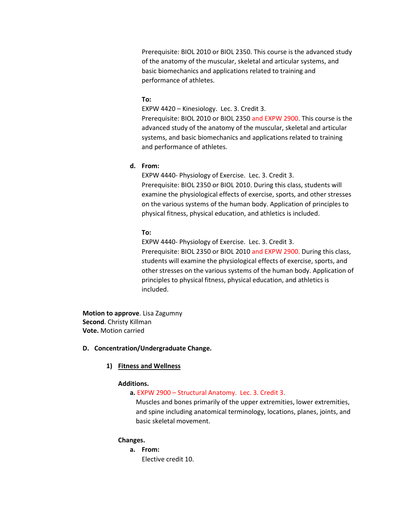Prerequisite: [BIOL 2010](http://catalog.tntech.edu/search_advanced.php?cur_cat_oid=27&search_database=Search&search_db=Search&cpage=1&ecpage=1&ppage=1&spage=1&tpage=1&location=33&filter%5Bkeyword%5D=EXPW+4420&filter%5Bexact_match%5D=1#tt6722) or [BIOL 2350.](http://catalog.tntech.edu/search_advanced.php?cur_cat_oid=27&search_database=Search&search_db=Search&cpage=1&ecpage=1&ppage=1&spage=1&tpage=1&location=33&filter%5Bkeyword%5D=EXPW+4420&filter%5Bexact_match%5D=1#tt8661) This course is the advanced study of the anatomy of the muscular, skeletal and articular systems, and basic biomechanics and applications related to training and performance of athletes.

#### **To:**

EXPW 4420 – Kinesiology. Lec. 3. Credit 3.

Prerequisite: [BIOL 2010](http://catalog.tntech.edu/search_advanced.php?cur_cat_oid=27&search_database=Search&search_db=Search&cpage=1&ecpage=1&ppage=1&spage=1&tpage=1&location=33&filter%5Bkeyword%5D=EXPW+4420&filter%5Bexact_match%5D=1#tt6722) or [BIOL 2350](http://catalog.tntech.edu/search_advanced.php?cur_cat_oid=27&search_database=Search&search_db=Search&cpage=1&ecpage=1&ppage=1&spage=1&tpage=1&location=33&filter%5Bkeyword%5D=EXPW+4420&filter%5Bexact_match%5D=1#tt8661) and EXPW 2900. This course is the advanced study of the anatomy of the muscular, skeletal and articular systems, and basic biomechanics and applications related to training and performance of athletes.

# **d. From:**

EXPW 4440- Physiology of Exercise. Lec. 3. Credit 3. Prerequisite: [BIOL 2350](http://catalog.tntech.edu/search_advanced.php?cur_cat_oid=27&search_database=Search&search_db=Search&cpage=1&ecpage=1&ppage=1&spage=1&tpage=1&location=33&filter%5Bkeyword%5D=EXPW+4440&filter%5Bexact_match%5D=1#tt7667) or [BIOL 2010.](http://catalog.tntech.edu/search_advanced.php?cur_cat_oid=27&search_database=Search&search_db=Search&cpage=1&ecpage=1&ppage=1&spage=1&tpage=1&location=33&filter%5Bkeyword%5D=EXPW+4440&filter%5Bexact_match%5D=1#tt2905) During this class, students will examine the physiological effects of exercise, sports, and other stresses on the various systems of the human body. Application of principles to physical fitness, physical education, and athletics is included.

# **To:**

EXPW 4440- Physiology of Exercise. Lec. 3. Credit 3. Prerequisite: [BIOL 2350](http://catalog.tntech.edu/search_advanced.php?cur_cat_oid=27&search_database=Search&search_db=Search&cpage=1&ecpage=1&ppage=1&spage=1&tpage=1&location=33&filter%5Bkeyword%5D=EXPW+4440&filter%5Bexact_match%5D=1#tt7667) or [BIOL 2010](http://catalog.tntech.edu/search_advanced.php?cur_cat_oid=27&search_database=Search&search_db=Search&cpage=1&ecpage=1&ppage=1&spage=1&tpage=1&location=33&filter%5Bkeyword%5D=EXPW+4440&filter%5Bexact_match%5D=1#tt2905) and EXPW 2900. During this class, students will examine the physiological effects of exercise, sports, and other stresses on the various systems of the human body. Application of principles to physical fitness, physical education, and athletics is included.

**Motion to approve**. Lisa Zagumny **Second**. Christy Killman **Vote.** Motion carried

#### **D. Concentration/Undergraduate Change.**

## **1) Fitness and Wellness**

#### **Additions.**

**a.** EXPW 2900 – Structural Anatomy. Lec. 3. Credit 3.

Muscles and bones primarily of the upper extremities, lower extremities, and spine including anatomical terminology, locations, planes, joints, and basic skeletal movement.

### **Changes.**

**a. From:** Elective credit 10.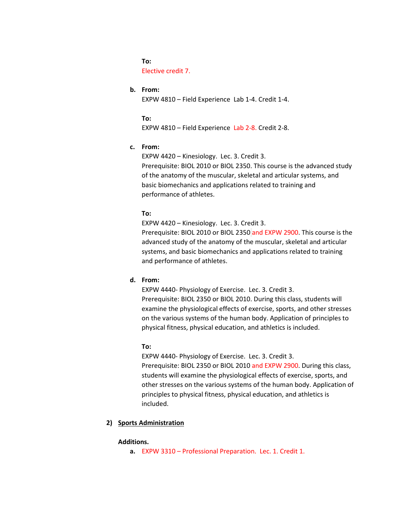**To:** Elective credit 7.

# **b. From:**

EXPW 4810 – Field Experience Lab 1-4. Credit 1-4.

**To:** EXPW 4810 – Field Experience Lab 2-8. Credit 2-8.

## **c. From:**

EXPW 4420 – Kinesiology. Lec. 3. Credit 3.

Prerequisite: [BIOL 2010](http://catalog.tntech.edu/search_advanced.php?cur_cat_oid=27&search_database=Search&search_db=Search&cpage=1&ecpage=1&ppage=1&spage=1&tpage=1&location=33&filter%5Bkeyword%5D=EXPW+4420&filter%5Bexact_match%5D=1#tt6722) or [BIOL 2350.](http://catalog.tntech.edu/search_advanced.php?cur_cat_oid=27&search_database=Search&search_db=Search&cpage=1&ecpage=1&ppage=1&spage=1&tpage=1&location=33&filter%5Bkeyword%5D=EXPW+4420&filter%5Bexact_match%5D=1#tt8661) This course is the advanced study of the anatomy of the muscular, skeletal and articular systems, and basic biomechanics and applications related to training and performance of athletes.

# **To:**

EXPW 4420 – Kinesiology. Lec. 3. Credit 3.

Prerequisite: [BIOL 2010](http://catalog.tntech.edu/search_advanced.php?cur_cat_oid=27&search_database=Search&search_db=Search&cpage=1&ecpage=1&ppage=1&spage=1&tpage=1&location=33&filter%5Bkeyword%5D=EXPW+4420&filter%5Bexact_match%5D=1#tt6722) or [BIOL 2350](http://catalog.tntech.edu/search_advanced.php?cur_cat_oid=27&search_database=Search&search_db=Search&cpage=1&ecpage=1&ppage=1&spage=1&tpage=1&location=33&filter%5Bkeyword%5D=EXPW+4420&filter%5Bexact_match%5D=1#tt8661) and EXPW 2900. This course is the advanced study of the anatomy of the muscular, skeletal and articular systems, and basic biomechanics and applications related to training and performance of athletes.

# **d. From:**

EXPW 4440- Physiology of Exercise. Lec. 3. Credit 3. Prerequisite: [BIOL 2350](http://catalog.tntech.edu/search_advanced.php?cur_cat_oid=27&search_database=Search&search_db=Search&cpage=1&ecpage=1&ppage=1&spage=1&tpage=1&location=33&filter%5Bkeyword%5D=EXPW+4440&filter%5Bexact_match%5D=1#tt7667) or [BIOL 2010.](http://catalog.tntech.edu/search_advanced.php?cur_cat_oid=27&search_database=Search&search_db=Search&cpage=1&ecpage=1&ppage=1&spage=1&tpage=1&location=33&filter%5Bkeyword%5D=EXPW+4440&filter%5Bexact_match%5D=1#tt2905) During this class, students will examine the physiological effects of exercise, sports, and other stresses on the various systems of the human body. Application of principles to physical fitness, physical education, and athletics is included.

## **To:**

EXPW 4440- Physiology of Exercise. Lec. 3. Credit 3. Prerequisite: [BIOL 2350](http://catalog.tntech.edu/search_advanced.php?cur_cat_oid=27&search_database=Search&search_db=Search&cpage=1&ecpage=1&ppage=1&spage=1&tpage=1&location=33&filter%5Bkeyword%5D=EXPW+4440&filter%5Bexact_match%5D=1#tt7667) or [BIOL 2010](http://catalog.tntech.edu/search_advanced.php?cur_cat_oid=27&search_database=Search&search_db=Search&cpage=1&ecpage=1&ppage=1&spage=1&tpage=1&location=33&filter%5Bkeyword%5D=EXPW+4440&filter%5Bexact_match%5D=1#tt2905) and EXPW 2900. During this class, students will examine the physiological effects of exercise, sports, and other stresses on the various systems of the human body. Application of principles to physical fitness, physical education, and athletics is included.

## **2) Sports Administration**

## **Additions.**

**a.** EXPW 3310 – Professional Preparation. Lec. 1. Credit 1.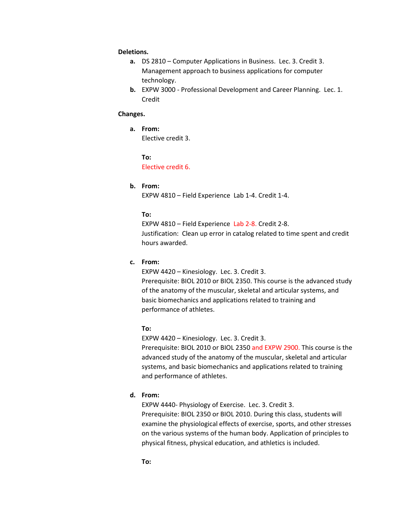### **Deletions.**

- **a.** DS 2810 Computer Applications in Business. Lec. 3. Credit 3. Management approach to business applications for computer technology.
- **b.** EXPW 3000 Professional Development and Career Planning. Lec. 1. Credit

#### **Changes.**

**a. From:**

Elective credit 3.

**To:**

# Elective credit 6.

# **b. From:**

EXPW 4810 – Field Experience Lab 1-4. Credit 1-4.

## **To:**

EXPW 4810 – Field Experience Lab 2-8. Credit 2-8. Justification: Clean up error in catalog related to time spent and credit hours awarded.

#### **c. From:**

EXPW 4420 – Kinesiology. Lec. 3. Credit 3.

Prerequisite: [BIOL 2010](http://catalog.tntech.edu/search_advanced.php?cur_cat_oid=27&search_database=Search&search_db=Search&cpage=1&ecpage=1&ppage=1&spage=1&tpage=1&location=33&filter%5Bkeyword%5D=EXPW+4420&filter%5Bexact_match%5D=1#tt6722) or [BIOL 2350.](http://catalog.tntech.edu/search_advanced.php?cur_cat_oid=27&search_database=Search&search_db=Search&cpage=1&ecpage=1&ppage=1&spage=1&tpage=1&location=33&filter%5Bkeyword%5D=EXPW+4420&filter%5Bexact_match%5D=1#tt8661) This course is the advanced study of the anatomy of the muscular, skeletal and articular systems, and basic biomechanics and applications related to training and performance of athletes.

## **To:**

EXPW 4420 – Kinesiology. Lec. 3. Credit 3.

Prerequisite: [BIOL 2010](http://catalog.tntech.edu/search_advanced.php?cur_cat_oid=27&search_database=Search&search_db=Search&cpage=1&ecpage=1&ppage=1&spage=1&tpage=1&location=33&filter%5Bkeyword%5D=EXPW+4420&filter%5Bexact_match%5D=1#tt6722) or [BIOL 2350](http://catalog.tntech.edu/search_advanced.php?cur_cat_oid=27&search_database=Search&search_db=Search&cpage=1&ecpage=1&ppage=1&spage=1&tpage=1&location=33&filter%5Bkeyword%5D=EXPW+4420&filter%5Bexact_match%5D=1#tt8661) and EXPW 2900. This course is the advanced study of the anatomy of the muscular, skeletal and articular systems, and basic biomechanics and applications related to training and performance of athletes.

# **d. From:**

EXPW 4440- Physiology of Exercise. Lec. 3. Credit 3. Prerequisite: [BIOL 2350](http://catalog.tntech.edu/search_advanced.php?cur_cat_oid=27&search_database=Search&search_db=Search&cpage=1&ecpage=1&ppage=1&spage=1&tpage=1&location=33&filter%5Bkeyword%5D=EXPW+4440&filter%5Bexact_match%5D=1#tt7667) or [BIOL 2010.](http://catalog.tntech.edu/search_advanced.php?cur_cat_oid=27&search_database=Search&search_db=Search&cpage=1&ecpage=1&ppage=1&spage=1&tpage=1&location=33&filter%5Bkeyword%5D=EXPW+4440&filter%5Bexact_match%5D=1#tt2905) During this class, students will examine the physiological effects of exercise, sports, and other stresses on the various systems of the human body. Application of principles to physical fitness, physical education, and athletics is included.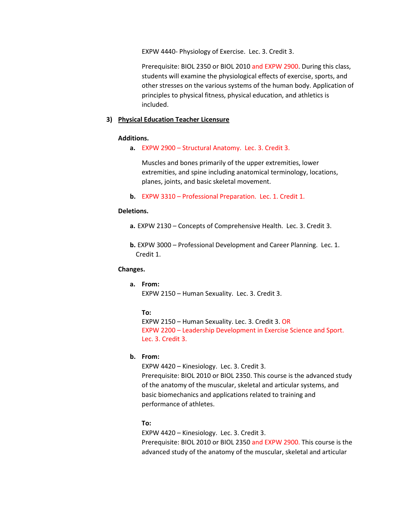EXPW 4440- Physiology of Exercise. Lec. 3. Credit 3.

Prerequisite: [BIOL 2350](http://catalog.tntech.edu/search_advanced.php?cur_cat_oid=27&search_database=Search&search_db=Search&cpage=1&ecpage=1&ppage=1&spage=1&tpage=1&location=33&filter%5Bkeyword%5D=EXPW+4440&filter%5Bexact_match%5D=1#tt7667) or [BIOL 2010](http://catalog.tntech.edu/search_advanced.php?cur_cat_oid=27&search_database=Search&search_db=Search&cpage=1&ecpage=1&ppage=1&spage=1&tpage=1&location=33&filter%5Bkeyword%5D=EXPW+4440&filter%5Bexact_match%5D=1#tt2905) and EXPW 2900. During this class, students will examine the physiological effects of exercise, sports, and other stresses on the various systems of the human body. Application of principles to physical fitness, physical education, and athletics is included.

# **3) Physical Education Teacher Licensure**

## **Additions.**

**a.** EXPW 2900 – Structural Anatomy. Lec. 3. Credit 3.

Muscles and bones primarily of the upper extremities, lower extremities, and spine including anatomical terminology, locations, planes, joints, and basic skeletal movement.

**b.** EXPW 3310 – Professional Preparation. Lec. 1. Credit 1.

#### **Deletions.**

**a.** EXPW 2130 – Concepts of Comprehensive Health. Lec. 3. Credit 3.

**b.** EXPW 3000 – Professional Development and Career Planning. Lec. 1. Credit 1.

# **Changes.**

# **a. From:**

EXPW 2150 – Human Sexuality. Lec. 3. Credit 3.

#### **To:**

EXPW 2150 – Human Sexuality. Lec. 3. Credit 3. OR EXPW 2200 – Leadership Development in Exercise Science and Sport. Lec. 3. Credit 3.

# **b. From:**

EXPW 4420 – Kinesiology. Lec. 3. Credit 3. Prerequisite: [BIOL 2010](http://catalog.tntech.edu/search_advanced.php?cur_cat_oid=27&search_database=Search&search_db=Search&cpage=1&ecpage=1&ppage=1&spage=1&tpage=1&location=33&filter%5Bkeyword%5D=EXPW+4420&filter%5Bexact_match%5D=1#tt6722) or [BIOL 2350.](http://catalog.tntech.edu/search_advanced.php?cur_cat_oid=27&search_database=Search&search_db=Search&cpage=1&ecpage=1&ppage=1&spage=1&tpage=1&location=33&filter%5Bkeyword%5D=EXPW+4420&filter%5Bexact_match%5D=1#tt8661) This course is the advanced study of the anatomy of the muscular, skeletal and articular systems, and basic biomechanics and applications related to training and performance of athletes.

### **To:**

EXPW 4420 – Kinesiology. Lec. 3. Credit 3. Prerequisite: [BIOL 2010](http://catalog.tntech.edu/search_advanced.php?cur_cat_oid=27&search_database=Search&search_db=Search&cpage=1&ecpage=1&ppage=1&spage=1&tpage=1&location=33&filter%5Bkeyword%5D=EXPW+4420&filter%5Bexact_match%5D=1#tt6722) or [BIOL 2350](http://catalog.tntech.edu/search_advanced.php?cur_cat_oid=27&search_database=Search&search_db=Search&cpage=1&ecpage=1&ppage=1&spage=1&tpage=1&location=33&filter%5Bkeyword%5D=EXPW+4420&filter%5Bexact_match%5D=1#tt8661) and EXPW 2900. This course is the advanced study of the anatomy of the muscular, skeletal and articular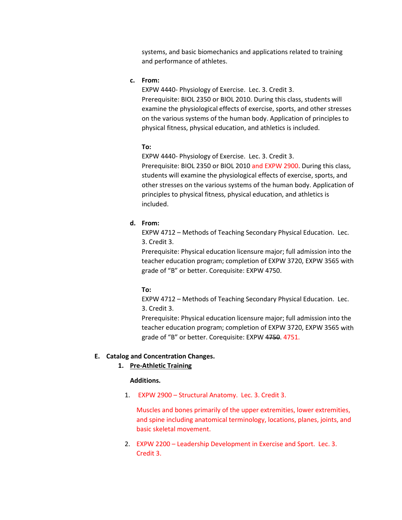systems, and basic biomechanics and applications related to training and performance of athletes.

**c. From:**

EXPW 4440- Physiology of Exercise. Lec. 3. Credit 3. Prerequisite: [BIOL 2350](http://catalog.tntech.edu/search_advanced.php?cur_cat_oid=27&search_database=Search&search_db=Search&cpage=1&ecpage=1&ppage=1&spage=1&tpage=1&location=33&filter%5Bkeyword%5D=EXPW+4440&filter%5Bexact_match%5D=1#tt7667) or [BIOL 2010.](http://catalog.tntech.edu/search_advanced.php?cur_cat_oid=27&search_database=Search&search_db=Search&cpage=1&ecpage=1&ppage=1&spage=1&tpage=1&location=33&filter%5Bkeyword%5D=EXPW+4440&filter%5Bexact_match%5D=1#tt2905) During this class, students will examine the physiological effects of exercise, sports, and other stresses on the various systems of the human body. Application of principles to physical fitness, physical education, and athletics is included.

#### **To:**

EXPW 4440- Physiology of Exercise. Lec. 3. Credit 3.

Prerequisite: [BIOL 2350](http://catalog.tntech.edu/search_advanced.php?cur_cat_oid=27&search_database=Search&search_db=Search&cpage=1&ecpage=1&ppage=1&spage=1&tpage=1&location=33&filter%5Bkeyword%5D=EXPW+4440&filter%5Bexact_match%5D=1#tt7667) or [BIOL 2010](http://catalog.tntech.edu/search_advanced.php?cur_cat_oid=27&search_database=Search&search_db=Search&cpage=1&ecpage=1&ppage=1&spage=1&tpage=1&location=33&filter%5Bkeyword%5D=EXPW+4440&filter%5Bexact_match%5D=1#tt2905) and EXPW 2900. During this class, students will examine the physiological effects of exercise, sports, and other stresses on the various systems of the human body. Application of principles to physical fitness, physical education, and athletics is included.

# **d. From:**

EXPW 4712 – Methods of Teaching Secondary Physical Education. Lec. 3. Credit 3.

Prerequisite: Physical education licensure major; full admission into the teacher education program; completion of [EXPW 3720,](http://catalog.tntech.edu/search_advanced.php?cur_cat_oid=27&search_database=Search&search_db=Search&cpage=1&ecpage=1&ppage=1&spage=1&tpage=1&location=33&filter%5Bkeyword%5D=EXPW+4712&filter%5Bexact_match%5D=1#tt6682) [EXPW 3565](http://catalog.tntech.edu/search_advanced.php?cur_cat_oid=27&search_database=Search&search_db=Search&cpage=1&ecpage=1&ppage=1&spage=1&tpage=1&location=33&filter%5Bkeyword%5D=EXPW+4712&filter%5Bexact_match%5D=1#tt4341) with grade of "B" or better. Corequisite: EXPW 4750.

**To:** 

EXPW 4712 – Methods of Teaching Secondary Physical Education. Lec. 3. Credit 3.

Prerequisite: Physical education licensure major; full admission into the teacher education program; completion of [EXPW 3720,](http://catalog.tntech.edu/search_advanced.php?cur_cat_oid=27&search_database=Search&search_db=Search&cpage=1&ecpage=1&ppage=1&spage=1&tpage=1&location=33&filter%5Bkeyword%5D=EXPW+4712&filter%5Bexact_match%5D=1#tt6682) [EXPW 3565](http://catalog.tntech.edu/search_advanced.php?cur_cat_oid=27&search_database=Search&search_db=Search&cpage=1&ecpage=1&ppage=1&spage=1&tpage=1&location=33&filter%5Bkeyword%5D=EXPW+4712&filter%5Bexact_match%5D=1#tt4341) with grade of "B" or better. Corequisite: EXPW 4750. 4751.

### **E. Catalog and Concentration Changes.**

### **1. Pre-Athletic Training**

### **Additions.**

1. EXPW 2900 – Structural Anatomy. Lec. 3. Credit 3.

Muscles and bones primarily of the upper extremities, lower extremities, and spine including anatomical terminology, locations, planes, joints, and basic skeletal movement.

2. EXPW 2200 – Leadership Development in Exercise and Sport. Lec. 3. Credit 3.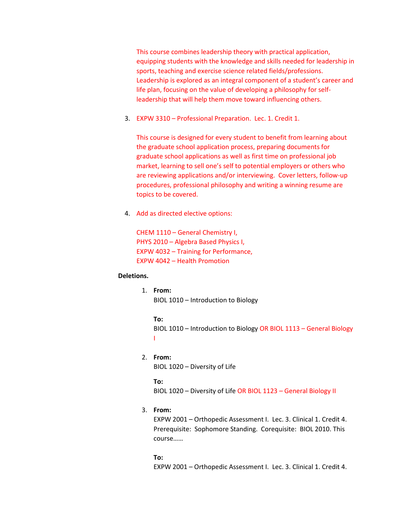This course combines leadership theory with practical application, equipping students with the knowledge and skills needed for leadership in sports, teaching and exercise science related fields/professions. Leadership is explored as an integral component of a student's career and life plan, focusing on the value of developing a philosophy for selfleadership that will help them move toward influencing others.

3. EXPW 3310 – Professional Preparation. Lec. 1. Credit 1.

This course is designed for every student to benefit from learning about the graduate school application process, preparing documents for graduate school applications as well as first time on professional job market, learning to sell one's self to potential employers or others who are reviewing applications and/or interviewing. Cover letters, follow-up procedures, professional philosophy and writing a winning resume are topics to be covered.

4. Add as directed elective options:

CHEM 1110 – General Chemistry I, PHYS 2010 – Algebra Based Physics I, EXPW 4032 – Training for Performance, EXPW 4042 – Health Promotion

## **Deletions.**

1. **From:**

BIOL 1010 – Introduction to Biology

**To:** BIOL 1010 – Introduction to Biology OR BIOL 1113 – General Biology I

# 2. **From:**

BIOL 1020 – Diversity of Life

**To:**

BIOL 1020 – Diversity of Life OR BIOL 1123 – General Biology II

# 3. **From:**

EXPW 2001 – Orthopedic Assessment I. Lec. 3. Clinical 1. Credit 4. Prerequisite: Sophomore Standing. Corequisite: BIOL 2010. This course……

**To:** EXPW 2001 – Orthopedic Assessment I. Lec. 3. Clinical 1. Credit 4.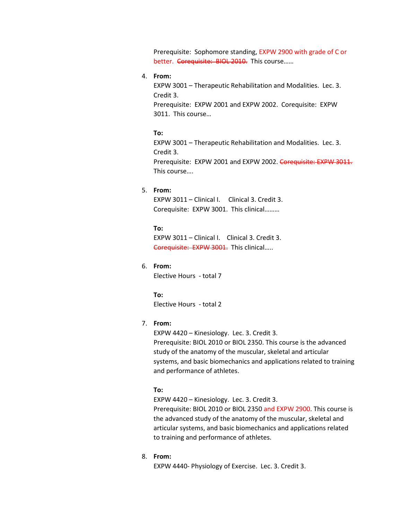Prerequisite: Sophomore standing, EXPW 2900 with grade of C or better. Corequisite: BIOL 2010. This course......

# 4. **From:**

EXPW 3001 – Therapeutic Rehabilitation and Modalities. Lec. 3. Credit 3. Prerequisite: EXPW 2001 and EXPW 2002. Corequisite: EXPW 3011. This course…

#### **To:**

EXPW 3001 – Therapeutic Rehabilitation and Modalities. Lec. 3. Credit 3. Prerequisite: EXPW 2001 and EXPW 2002. Corequisite: EXPW 3011. This course….

#### 5. **From:**

EXPW 3011 – Clinical I. Clinical 3. Credit 3. Corequisite: EXPW 3001. This clinical………

**To:** EXPW 3011 – Clinical I. Clinical 3. Credit 3. Corequisite: EXPW 3001. This clinical.....

# 6. **From:**

Elective Hours - total 7

**To:** Elective Hours - total 2

# 7. **From:**

EXPW 4420 – Kinesiology. Lec. 3. Credit 3.

Prerequisite: [BIOL 2010](http://catalog.tntech.edu/search_advanced.php?cur_cat_oid=27&search_database=Search&search_db=Search&cpage=1&ecpage=1&ppage=1&spage=1&tpage=1&location=33&filter%5Bkeyword%5D=EXPW+4420&filter%5Bexact_match%5D=1#tt6722) or [BIOL 2350.](http://catalog.tntech.edu/search_advanced.php?cur_cat_oid=27&search_database=Search&search_db=Search&cpage=1&ecpage=1&ppage=1&spage=1&tpage=1&location=33&filter%5Bkeyword%5D=EXPW+4420&filter%5Bexact_match%5D=1#tt8661) This course is the advanced study of the anatomy of the muscular, skeletal and articular systems, and basic biomechanics and applications related to training and performance of athletes.

# **To:**

EXPW 4420 – Kinesiology. Lec. 3. Credit 3.

Prerequisite: [BIOL 2010](http://catalog.tntech.edu/search_advanced.php?cur_cat_oid=27&search_database=Search&search_db=Search&cpage=1&ecpage=1&ppage=1&spage=1&tpage=1&location=33&filter%5Bkeyword%5D=EXPW+4420&filter%5Bexact_match%5D=1#tt6722) or [BIOL 2350](http://catalog.tntech.edu/search_advanced.php?cur_cat_oid=27&search_database=Search&search_db=Search&cpage=1&ecpage=1&ppage=1&spage=1&tpage=1&location=33&filter%5Bkeyword%5D=EXPW+4420&filter%5Bexact_match%5D=1#tt8661) and EXPW 2900. This course is the advanced study of the anatomy of the muscular, skeletal and articular systems, and basic biomechanics and applications related to training and performance of athletes.

### 8. **From:**

EXPW 4440- Physiology of Exercise. Lec. 3. Credit 3.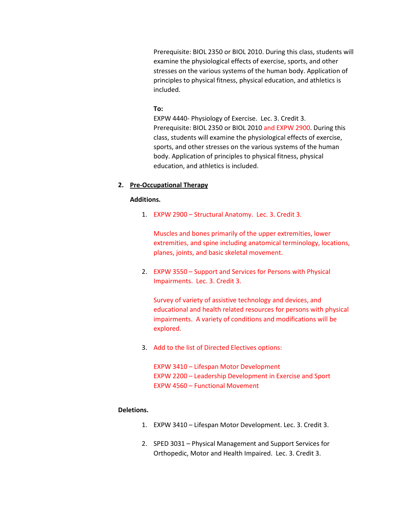Prerequisite: [BIOL 2350](http://catalog.tntech.edu/search_advanced.php?cur_cat_oid=27&search_database=Search&search_db=Search&cpage=1&ecpage=1&ppage=1&spage=1&tpage=1&location=33&filter%5Bkeyword%5D=EXPW+4440&filter%5Bexact_match%5D=1#tt7667) or [BIOL 2010.](http://catalog.tntech.edu/search_advanced.php?cur_cat_oid=27&search_database=Search&search_db=Search&cpage=1&ecpage=1&ppage=1&spage=1&tpage=1&location=33&filter%5Bkeyword%5D=EXPW+4440&filter%5Bexact_match%5D=1#tt2905) During this class, students will examine the physiological effects of exercise, sports, and other stresses on the various systems of the human body. Application of principles to physical fitness, physical education, and athletics is included.

#### **To:**

EXPW 4440- Physiology of Exercise. Lec. 3. Credit 3. Prerequisite: [BIOL 2350](http://catalog.tntech.edu/search_advanced.php?cur_cat_oid=27&search_database=Search&search_db=Search&cpage=1&ecpage=1&ppage=1&spage=1&tpage=1&location=33&filter%5Bkeyword%5D=EXPW+4440&filter%5Bexact_match%5D=1#tt7667) or [BIOL 2010](http://catalog.tntech.edu/search_advanced.php?cur_cat_oid=27&search_database=Search&search_db=Search&cpage=1&ecpage=1&ppage=1&spage=1&tpage=1&location=33&filter%5Bkeyword%5D=EXPW+4440&filter%5Bexact_match%5D=1#tt2905) and EXPW 2900. During this class, students will examine the physiological effects of exercise, sports, and other stresses on the various systems of the human body. Application of principles to physical fitness, physical education, and athletics is included.

# **2. Pre-Occupational Therapy**

# **Additions.**

1. EXPW 2900 – Structural Anatomy. Lec. 3. Credit 3.

Muscles and bones primarily of the upper extremities, lower extremities, and spine including anatomical terminology, locations, planes, joints, and basic skeletal movement.

2. EXPW 3550 – Support and Services for Persons with Physical Impairments. Lec. 3. Credit 3.

Survey of variety of assistive technology and devices, and educational and health related resources for persons with physical impairments. A variety of conditions and modifications will be explored.

3. Add to the list of Directed Electives options:

EXPW 3410 – Lifespan Motor Development EXPW 2200 – Leadership Development in Exercise and Sport EXPW 4560 – Functional Movement

## **Deletions.**

- 1. EXPW 3410 Lifespan Motor Development. Lec. 3. Credit 3.
- 2. SPED 3031 Physical Management and Support Services for Orthopedic, Motor and Health Impaired. Lec. 3. Credit 3.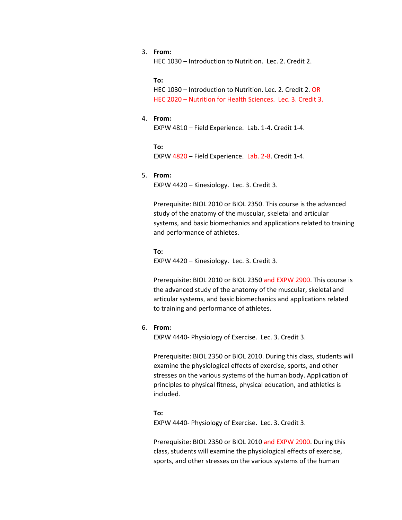# 3. **From:**

HEC 1030 – Introduction to Nutrition. Lec. 2. Credit 2.

**To:**

HEC 1030 – Introduction to Nutrition. Lec. 2. Credit 2. OR HEC 2020 – Nutrition for Health Sciences. Lec. 3. Credit 3.

#### 4. **From:**

EXPW 4810 – Field Experience. Lab. 1-4. Credit 1-4.

**To:** EXPW 4820 – Field Experience. Lab. 2-8. Credit 1-4.

# 5. **From:**

EXPW 4420 – Kinesiology. Lec. 3. Credit 3.

Prerequisite: [BIOL 2010](http://catalog.tntech.edu/search_advanced.php?cur_cat_oid=27&search_database=Search&search_db=Search&cpage=1&ecpage=1&ppage=1&spage=1&tpage=1&location=33&filter%5Bkeyword%5D=EXPW+4420&filter%5Bexact_match%5D=1#tt6722) or [BIOL 2350.](http://catalog.tntech.edu/search_advanced.php?cur_cat_oid=27&search_database=Search&search_db=Search&cpage=1&ecpage=1&ppage=1&spage=1&tpage=1&location=33&filter%5Bkeyword%5D=EXPW+4420&filter%5Bexact_match%5D=1#tt8661) This course is the advanced study of the anatomy of the muscular, skeletal and articular systems, and basic biomechanics and applications related to training and performance of athletes.

**To:** EXPW 4420 – Kinesiology. Lec. 3. Credit 3.

Prerequisite: [BIOL 2010](http://catalog.tntech.edu/search_advanced.php?cur_cat_oid=27&search_database=Search&search_db=Search&cpage=1&ecpage=1&ppage=1&spage=1&tpage=1&location=33&filter%5Bkeyword%5D=EXPW+4420&filter%5Bexact_match%5D=1#tt6722) or [BIOL 2350](http://catalog.tntech.edu/search_advanced.php?cur_cat_oid=27&search_database=Search&search_db=Search&cpage=1&ecpage=1&ppage=1&spage=1&tpage=1&location=33&filter%5Bkeyword%5D=EXPW+4420&filter%5Bexact_match%5D=1#tt8661) and EXPW 2900. This course is the advanced study of the anatomy of the muscular, skeletal and articular systems, and basic biomechanics and applications related to training and performance of athletes.

#### 6. **From:**

EXPW 4440- Physiology of Exercise. Lec. 3. Credit 3.

Prerequisite: [BIOL 2350](http://catalog.tntech.edu/search_advanced.php?cur_cat_oid=27&search_database=Search&search_db=Search&cpage=1&ecpage=1&ppage=1&spage=1&tpage=1&location=33&filter%5Bkeyword%5D=EXPW+4440&filter%5Bexact_match%5D=1#tt7667) or [BIOL 2010.](http://catalog.tntech.edu/search_advanced.php?cur_cat_oid=27&search_database=Search&search_db=Search&cpage=1&ecpage=1&ppage=1&spage=1&tpage=1&location=33&filter%5Bkeyword%5D=EXPW+4440&filter%5Bexact_match%5D=1#tt2905) During this class, students will examine the physiological effects of exercise, sports, and other stresses on the various systems of the human body. Application of principles to physical fitness, physical education, and athletics is included.

#### **To:**

EXPW 4440- Physiology of Exercise. Lec. 3. Credit 3.

Prerequisite: [BIOL 2350](http://catalog.tntech.edu/search_advanced.php?cur_cat_oid=27&search_database=Search&search_db=Search&cpage=1&ecpage=1&ppage=1&spage=1&tpage=1&location=33&filter%5Bkeyword%5D=EXPW+4440&filter%5Bexact_match%5D=1#tt7667) or [BIOL 2010](http://catalog.tntech.edu/search_advanced.php?cur_cat_oid=27&search_database=Search&search_db=Search&cpage=1&ecpage=1&ppage=1&spage=1&tpage=1&location=33&filter%5Bkeyword%5D=EXPW+4440&filter%5Bexact_match%5D=1#tt2905) and EXPW 2900. During this class, students will examine the physiological effects of exercise, sports, and other stresses on the various systems of the human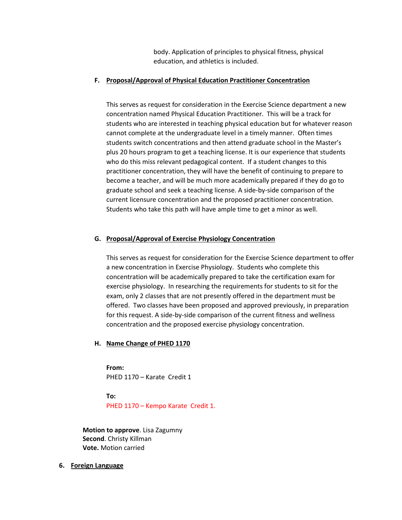body. Application of principles to physical fitness, physical education, and athletics is included.

# **F. Proposal/Approval of Physical Education Practitioner Concentration**

This serves as request for consideration in the Exercise Science department a new concentration named Physical Education Practitioner. This will be a track for students who are interested in teaching physical education but for whatever reason cannot complete at the undergraduate level in a timely manner. Often times students switch concentrations and then attend graduate school in the Master's plus 20 hours program to get a teaching license. It is our experience that students who do this miss relevant pedagogical content. If a student changes to this practitioner concentration, they will have the benefit of continuing to prepare to become a teacher, and will be much more academically prepared if they do go to graduate school and seek a teaching license. A side-by-side comparison of the current licensure concentration and the proposed practitioner concentration. Students who take this path will have ample time to get a minor as well.

# **G. Proposal/Approval of Exercise Physiology Concentration**

This serves as request for consideration for the Exercise Science department to offer a new concentration in Exercise Physiology. Students who complete this concentration will be academically prepared to take the certification exam for exercise physiology. In researching the requirements for students to sit for the exam, only 2 classes that are not presently offered in the department must be offered. Two classes have been proposed and approved previously, in preparation for this request. A side-by-side comparison of the current fitness and wellness concentration and the proposed exercise physiology concentration.

# **H. Name Change of PHED 1170**

**From:** PHED 1170 – Karate Credit 1

**To:** PHED 1170 – Kempo Karate Credit 1.

**Motion to approve**. Lisa Zagumny **Second**. Christy Killman **Vote.** Motion carried

**6. Foreign Language**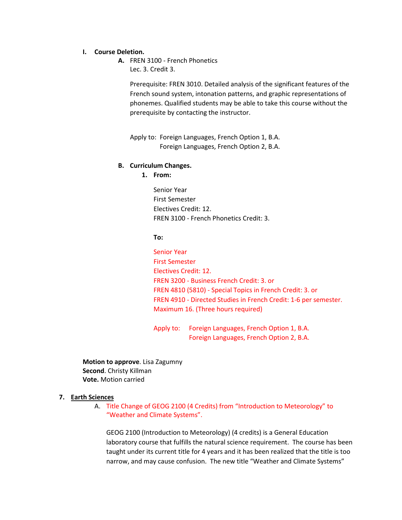### **I. Course Deletion.**

**A.** FREN 3100 - French Phonetics Lec. 3. Credit 3.

> Prerequisite: FREN 3010. Detailed analysis of the significant features of the French sound system, intonation patterns, and graphic representations of phonemes. Qualified students may be able to take this course without the prerequisite by contacting the instructor.

Apply to: Foreign Languages, French Option 1, B.A. Foreign Languages, French Option 2, B.A.

### **B. Curriculum Changes.**

# **1. From:**

Senior Year First Semester Electives Credit: 12. FREN 3100 - French Phonetics Credit: 3.

# **To:**

Senior Year First Semester Electives Credit: 12. FREN 3200 - Business French Credit: 3. or FREN 4810 (5810) - Special Topics in French Credit: 3. or FREN 4910 - Directed Studies in French Credit: 1-6 per semester. Maximum 16. (Three hours required)

Apply to: Foreign Languages, French Option 1, B.A. Foreign Languages, French Option 2, B.A.

**Motion to approve**. Lisa Zagumny **Second**. Christy Killman **Vote.** Motion carried

### **7. Earth Sciences**

A. Title Change of GEOG 2100 (4 Credits) from "Introduction to Meteorology" to "Weather and Climate Systems".

GEOG 2100 (Introduction to Meteorology) (4 credits) is a General Education laboratory course that fulfills the natural science requirement. The course has been taught under its current title for 4 years and it has been realized that the title is too narrow, and may cause confusion. The new title "Weather and Climate Systems"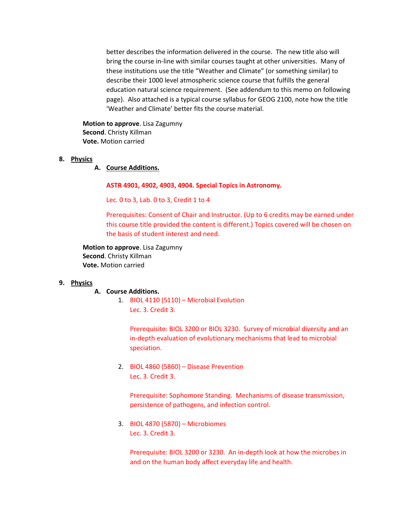better describes the information delivered in the course. The new title also will bring the course in-line with similar courses taught at other universities. Many of these institutions use the title "Weather and Climate" (or something similar) to describe their 1000 level atmospheric science course that fulfills the general education natural science requirement. (See addendum to this memo on following page). Also attached is a typical course syllabus for GEOG 2100, note how the title 'Weather and Climate' better fits the course material.

**Motion to approve**. Lisa Zagumny **Second**. Christy Killman **Vote.** Motion carried

- **8. Physics**
	- **A. Course Additions.**

**ASTR 4901, 4902, 4903, 4904. Special Topics in Astronomy.**

Lec. 0 to 3, Lab. 0 to 3, Credit 1 to 4

Prerequisites: Consent of Chair and Instructor. (Up to 6 credits may be earned under this course title provided the content is different.) Topics covered will be chosen on the basis of student interest and need.

**Motion to approve**. Lisa Zagumny **Second**. Christy Killman **Vote.** Motion carried

# **9. Physics**

#### **A. Course Additions.**

1. BIOL 4110 (5110) – Microbial Evolution Lec. 3. Credit 3.

> Prerequisite: BIOL 3200 or BIOL 3230. Survey of microbial diversity and an in-depth evaluation of evolutionary mechanisms that lead to microbial speciation.

2. BIOL 4860 (5860) – Disease Prevention Lec. 3. Credit 3.

Prerequisite: Sophomore Standing. Mechanisms of disease transmission, persistence of pathogens, and infection control.

3. BIOL 4870 (5870) – Microbiomes Lec. 3. Credit 3.

> Prerequisite: BIOL 3200 or 3230. An in-depth look at how the microbes in and on the human body affect everyday life and health.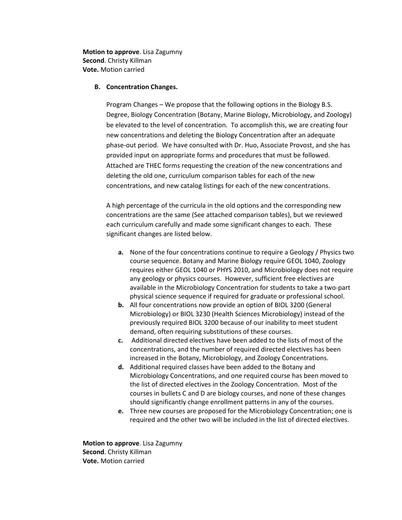**Motion to approve**. Lisa Zagumny **Second**. Christy Killman **Vote.** Motion carried

## **B. Concentration Changes.**

Program Changes – We propose that the following options in the Biology B.S. Degree, Biology Concentration (Botany, Marine Biology, Microbiology, and Zoology) be elevated to the level of concentration. To accomplish this, we are creating four new concentrations and deleting the Biology Concentration after an adequate phase-out period. We have consulted with Dr. Huo, Associate Provost, and she has provided input on appropriate forms and procedures that must be followed. Attached are THEC forms requesting the creation of the new concentrations and deleting the old one, curriculum comparison tables for each of the new concentrations, and new catalog listings for each of the new concentrations.

A high percentage of the curricula in the old options and the corresponding new concentrations are the same (See attached comparison tables), but we reviewed each curriculum carefully and made some significant changes to each. These significant changes are listed below.

- **a.** None of the four concentrations continue to require a Geology / Physics two course sequence. Botany and Marine Biology require GEOL 1040, Zoology requires either GEOL 1040 or PHYS 2010, and Microbiology does not require any geology or physics courses. However, sufficient free electives are available in the Microbiology Concentration for students to take a two-part physical science sequence if required for graduate or professional school.
- **b.** All four concentrations now provide an option of BIOL 3200 (General Microbiology) or BIOL 3230 (Health Sciences Microbiology) instead of the previously required BIOL 3200 because of our inability to meet student demand, often requiring substitutions of these courses.
- **c.** Additional directed electives have been added to the lists of most of the concentrations, and the number of required directed electives has been increased in the Botany, Microbiology, and Zoology Concentrations.
- **d.** Additional required classes have been added to the Botany and Microbiology Concentrations, and one required course has been moved to the list of directed electives in the Zoology Concentration. Most of the courses in bullets C and D are biology courses, and none of these changes should significantly change enrollment patterns in any of the courses.
- **e.** Three new courses are proposed for the Microbiology Concentration; one is required and the other two will be included in the list of directed electives.

**Motion to approve**. Lisa Zagumny **Second**. Christy Killman **Vote.** Motion carried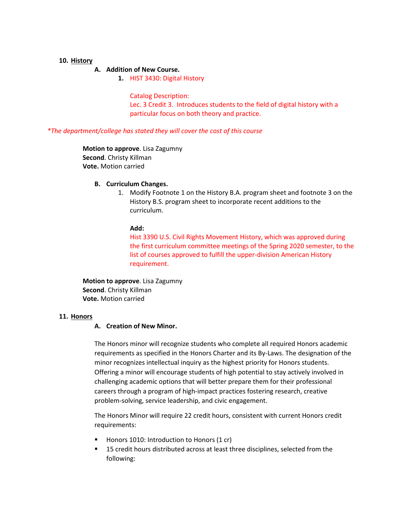# **10. History**

# **A. Addition of New Course.**

**1.** HIST 3430: Digital History

### Catalog Description:

Lec. 3 Credit 3. Introduces students to the field of digital history with a particular focus on both theory and practice.

#### *\*The department/college has stated they will cover the cost of this course*

**Motion to approve**. Lisa Zagumny **Second**. Christy Killman **Vote.** Motion carried

# **B. Curriculum Changes.**

1. Modify Footnote 1 on the History B.A. program sheet and footnote 3 on the History B.S. program sheet to incorporate recent additions to the curriculum.

# **Add:**

Hist 3390 U.S. Civil Rights Movement History, which was approved during the first curriculum committee meetings of the Spring 2020 semester, to the list of courses approved to fulfill the upper-division American History requirement.

**Motion to approve**. Lisa Zagumny **Second**. Christy Killman **Vote.** Motion carried

#### **11. Honors**

## **A. Creation of New Minor.**

The Honors minor will recognize students who complete all required Honors academic requirements as specified in the Honors Charter and its By-Laws. The designation of the minor recognizes intellectual inquiry as the highest priority for Honors students. Offering a minor will encourage students of high potential to stay actively involved in challenging academic options that will better prepare them for their professional careers through a program of high-impact practices fostering research, creative problem-solving, service leadership, and civic engagement.

The Honors Minor will require 22 credit hours, consistent with current Honors credit requirements:

- Honors 1010: Introduction to Honors (1 cr)
- **15 credit hours distributed across at least three disciplines, selected from the** following: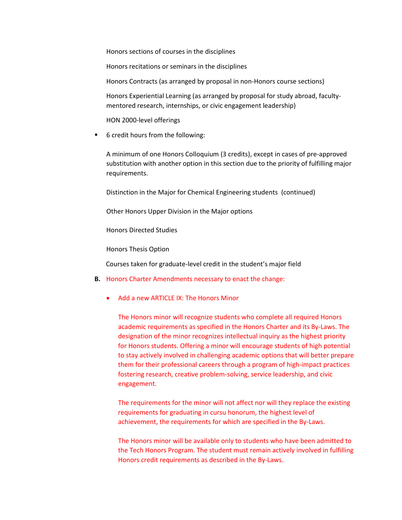Honors sections of courses in the disciplines

Honors recitations or seminars in the disciplines

Honors Contracts (as arranged by proposal in non-Honors course sections)

Honors Experiential Learning (as arranged by proposal for study abroad, facultymentored research, internships, or civic engagement leadership)

HON 2000-level offerings

■ 6 credit hours from the following:

A minimum of one Honors Colloquium (3 credits), except in cases of pre-approved substitution with another option in this section due to the priority of fulfilling major requirements.

Distinction in the Major for Chemical Engineering students (continued)

Other Honors Upper Division in the Major options

Honors Directed Studies

Honors Thesis Option

Courses taken for graduate-level credit in the student's major field

- **B.** Honors Charter Amendments necessary to enact the change:
	- Add a new ARTICLE IX: The Honors Minor

The Honors minor will recognize students who complete all required Honors academic requirements as specified in the Honors Charter and its By-Laws. The designation of the minor recognizes intellectual inquiry as the highest priority for Honors students. Offering a minor will encourage students of high potential to stay actively involved in challenging academic options that will better prepare them for their professional careers through a program of high-impact practices fostering research, creative problem-solving, service leadership, and civic engagement.

The requirements for the minor will not affect nor will they replace the existing requirements for graduating in cursu honorum, the highest level of achievement, the requirements for which are specified in the By-Laws.

The Honors minor will be available only to students who have been admitted to the Tech Honors Program. The student must remain actively involved in fulfilling Honors credit requirements as described in the By-Laws.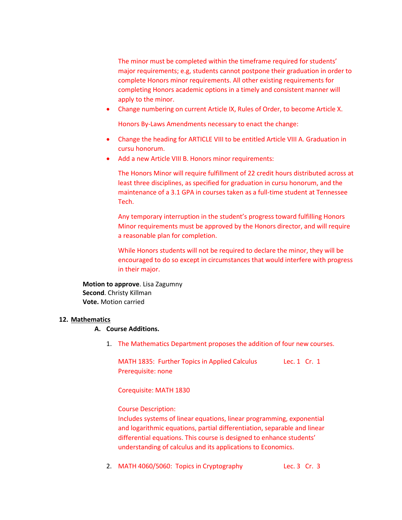The minor must be completed within the timeframe required for students' major requirements; e.g, students cannot postpone their graduation in order to complete Honors minor requirements. All other existing requirements for completing Honors academic options in a timely and consistent manner will apply to the minor.

• Change numbering on current Article IX, Rules of Order, to become Article X.

Honors By-Laws Amendments necessary to enact the change:

- Change the heading for ARTICLE VIII to be entitled Article VIII A. Graduation in cursu honorum.
- Add a new Article VIII B. Honors minor requirements:

The Honors Minor will require fulfillment of 22 credit hours distributed across at least three disciplines, as specified for graduation in cursu honorum, and the maintenance of a 3.1 GPA in courses taken as a full-time student at Tennessee Tech.

Any temporary interruption in the student's progress toward fulfilling Honors Minor requirements must be approved by the Honors director, and will require a reasonable plan for completion.

While Honors students will not be required to declare the minor, they will be encouraged to do so except in circumstances that would interfere with progress in their major.

**Motion to approve**. Lisa Zagumny **Second**. Christy Killman **Vote.** Motion carried

# **12. Mathematics**

# **A. Course Additions.**

1. The Mathematics Department proposes the addition of four new courses.

MATH 1835: Further Topics in Applied Calculus Lec. 1 Cr. 1 Prerequisite: none

Corequisite: MATH 1830

Course Description:

Includes systems of linear equations, linear programming, exponential and logarithmic equations, partial differentiation, separable and linear differential equations. This course is designed to enhance students' understanding of calculus and its applications to Economics.

2. MATH 4060/5060: Topics in Cryptography Lec. 3 Cr. 3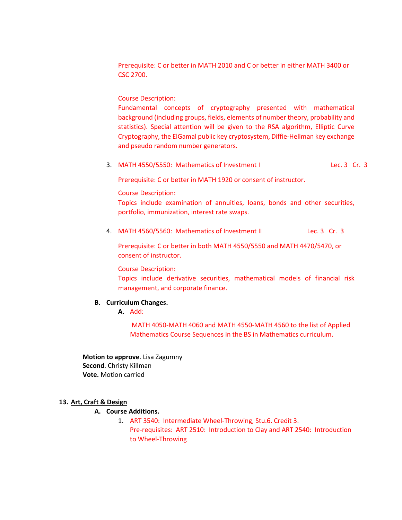Prerequisite: C or better in MATH 2010 and C or better in either MATH 3400 or CSC 2700.

Course Description:

Fundamental concepts of cryptography presented with mathematical background (including groups, fields, elements of number theory, probability and statistics). Special attention will be given to the RSA algorithm, Elliptic Curve Cryptography, the ElGamal public key cryptosystem, Diffie-Hellman key exchange and pseudo random number generators.

3. MATH 4550/5550: Mathematics of Investment I Lec. 3 Cr. 3

Prerequisite: C or better in MATH 1920 or consent of instructor.

Course Description:

Topics include examination of annuities, loans, bonds and other securities, portfolio, immunization, interest rate swaps.

4. MATH 4560/5560: Mathematics of Investment II Lec. 3 Cr. 3

Prerequisite: C or better in both MATH 4550/5550 and MATH 4470/5470, or consent of instructor.

Course Description:

Topics include derivative securities, mathematical models of financial risk management, and corporate finance.

# **B. Curriculum Changes.**

**A.** Add:

MATH 4050-MATH 4060 and MATH 4550-MATH 4560 to the list of Applied Mathematics Course Sequences in the BS in Mathematics curriculum.

**Motion to approve**. Lisa Zagumny **Second**. Christy Killman **Vote.** Motion carried

# **13. Art, Craft & Design**

# **A. Course Additions.**

1. ART 3540: Intermediate Wheel-Throwing, Stu.6. Credit 3. Pre-requisites: ART 2510: Introduction to Clay and ART 2540: Introduction to Wheel-Throwing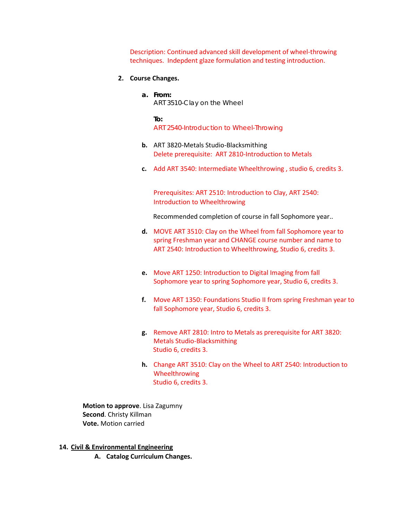Description: Continued advanced skill development of wheel-throwing techniques. Indepdent glaze formulation and testing introduction.

# **2. Course Changes.**

**a. From:** ART 3510-Clay on the Wheel

> **To:** ART 2540-Introduction to Wheel-Throwing

- **b.** ART 3820-Metals Studio-Blacksmithing Delete prerequisite: ART 2810-Introduction to Metals
- **c.** Add ART 3540: Intermediate Wheelthrowing , studio 6, credits 3.

Prerequisites: ART 2510: Introduction to Clay, ART 2540: Introduction to Wheelthrowing

Recommended completion of course in fall Sophomore year..

- **d.** MOVE ART 3510: Clay on the Wheel from fall Sophomore year to spring Freshman year and CHANGE course number and name to ART 2540: Introduction to Wheelthrowing, Studio 6, credits 3.
- **e.** Move ART 1250: Introduction to Digital Imaging from fall Sophomore year to spring Sophomore year, Studio 6, credits 3.
- **f.** Move ART 1350: Foundations Studio II from spring Freshman year to fall Sophomore year, Studio 6, credits 3.
- **g.** Remove ART 2810: Intro to Metals as prerequisite for ART 3820: Metals Studio-Blacksmithing Studio 6, credits 3.
- **h.** Change ART 3510: Clay on the Wheel to ART 2540: Introduction to Wheelthrowing Studio 6, credits 3.

**Motion to approve**. Lisa Zagumny **Second**. Christy Killman **Vote.** Motion carried

- **14. Civil & Environmental Engineering**
	- **A. Catalog Curriculum Changes.**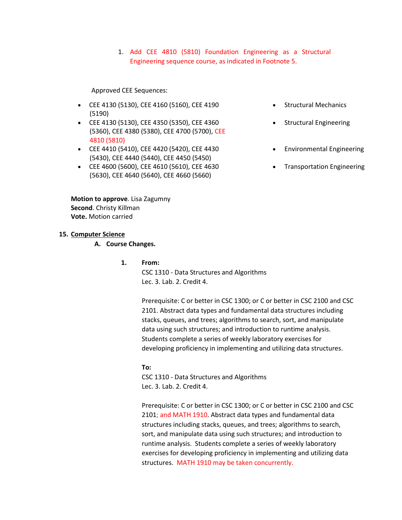1. Add CEE 4810 (5810) Foundation Engineering as a Structural Engineering sequence course, as indicated in Footnote 5.

# Approved CEE Sequences:

- [CEE 4130 \(5130\),](http://catalog.tntech.edu/preview_program.php?catoid=27&poid=3241&returnto=5394#tt2330) [CEE 4160 \(5160\),](http://catalog.tntech.edu/preview_program.php?catoid=27&poid=3241&returnto=5394#tt8537) [CEE 4190](http://catalog.tntech.edu/preview_program.php?catoid=27&poid=3241&returnto=5394#tt3509)  [\(5190\)](http://catalog.tntech.edu/preview_program.php?catoid=27&poid=3241&returnto=5394#tt3509)
- [CEE 4130 \(5130\),](http://catalog.tntech.edu/preview_program.php?catoid=27&poid=3241&returnto=5394#tt9321) [CEE 4350 \(5350\),](http://catalog.tntech.edu/preview_program.php?catoid=27&poid=3241&returnto=5394#tt8836) [CEE 4360](http://catalog.tntech.edu/preview_program.php?catoid=27&poid=3241&returnto=5394#tt9092)  [\(5360\),](http://catalog.tntech.edu/preview_program.php?catoid=27&poid=3241&returnto=5394#tt9092) [CEE 4380 \(5380\),](http://catalog.tntech.edu/preview_program.php?catoid=27&poid=3241&returnto=5394#tt1215) [CEE 4700 \(5700\),](http://catalog.tntech.edu/preview_program.php?catoid=27&poid=3241&returnto=5394#tt2182) CEE 4810 (5810)
- [CEE 4410 \(5410\),](http://catalog.tntech.edu/preview_program.php?catoid=27&poid=3241&returnto=5394#tt5499) [CEE 4420 \(5420\),](http://catalog.tntech.edu/preview_program.php?catoid=27&poid=3241&returnto=5394#tt3286) [CEE 4430](http://catalog.tntech.edu/preview_program.php?catoid=27&poid=3241&returnto=5394#tt7206)  [\(5430\),](http://catalog.tntech.edu/preview_program.php?catoid=27&poid=3241&returnto=5394#tt7206) [CEE 4440 \(5440\),](http://catalog.tntech.edu/preview_program.php?catoid=27&poid=3241&returnto=5394#tt6000) [CEE 4450 \(5450\)](http://catalog.tntech.edu/preview_program.php?catoid=27&poid=3241&returnto=5394#tt1752)
- [CEE 4600 \(5600\),](http://catalog.tntech.edu/preview_program.php?catoid=27&poid=3241&returnto=5394#tt8397) [CEE 4610 \(5610\),](http://catalog.tntech.edu/preview_program.php?catoid=27&poid=3241&returnto=5394#tt5646) [CEE 4630](http://catalog.tntech.edu/preview_program.php?catoid=27&poid=3241&returnto=5394#tt4613)  [\(5630\),](http://catalog.tntech.edu/preview_program.php?catoid=27&poid=3241&returnto=5394#tt4613) [CEE 4640 \(5640\),](http://catalog.tntech.edu/preview_program.php?catoid=27&poid=3241&returnto=5394#tt24) [CEE 4660 \(5660\)](http://catalog.tntech.edu/preview_program.php?catoid=27&poid=3241&returnto=5394#tt5867)
- Structural Mechanics
- Structural Engineering
- Environmental Engineering
- Transportation Engineering

**Motion to approve**. Lisa Zagumny **Second**. Christy Killman **Vote.** Motion carried

## **15. Computer Science**

### **A. Course Changes.**

**1. From:**

CSC 1310 - Data Structures and Algorithms Lec. 3. Lab. 2. Credit 4.

Prerequisite: C or better in CSC 1300; or C or better in CSC 2100 and CSC 2101. Abstract data types and fundamental data structures including stacks, queues, and trees; algorithms to search, sort, and manipulate data using such structures; and introduction to runtime analysis. Students complete a series of weekly laboratory exercises for developing proficiency in implementing and utilizing data structures.

#### **To:**

CSC 1310 - Data Structures and Algorithms Lec. 3. Lab. 2. Credit 4.

Prerequisite: C or better in CSC 1300; or C or better in CSC 2100 and CSC 2101; and MATH 1910. Abstract data types and fundamental data structures including stacks, queues, and trees; algorithms to search, sort, and manipulate data using such structures; and introduction to runtime analysis. Students complete a series of weekly laboratory exercises for developing proficiency in implementing and utilizing data structures. MATH 1910 may be taken concurrently.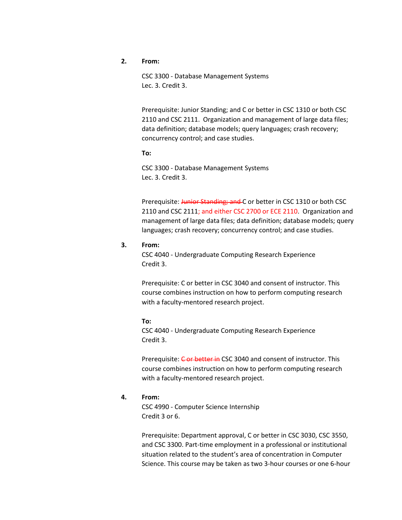# **2. From:**

CSC 3300 - Database Management Systems Lec. 3. Credit 3.

Prerequisite: Junior Standing; and C or better in CSC 1310 or both CSC 2110 and CSC 2111. Organization and management of large data files; data definition; database models; query languages; crash recovery; concurrency control; and case studies.

**To:** 

CSC 3300 - Database Management Systems Lec. 3. Credit 3.

Prerequisite: Junior Standing; and C or better in CSC 1310 or both CSC 2110 and CSC 2111; and either CSC 2700 or ECE 2110. Organization and management of large data files; data definition; database models; query languages; crash recovery; concurrency control; and case studies.

### **3. From:**

CSC 4040 - Undergraduate Computing Research Experience Credit 3.

Prerequisite: C or better in CSC 3040 and consent of instructor. This course combines instruction on how to perform computing research with a faculty-mentored research project.

#### **To:**

CSC 4040 - Undergraduate Computing Research Experience Credit 3.

Prerequisite: Cor better in CSC 3040 and consent of instructor. This course combines instruction on how to perform computing research with a faculty-mentored research project.

# **4. From:**

CSC 4990 - Computer Science Internship Credit 3 or 6.

Prerequisite: Department approval, C or better in CSC 3030, CSC 3550, and CSC 3300. Part-time employment in a professional or institutional situation related to the student's area of concentration in Computer Science. This course may be taken as two 3-hour courses or one 6-hour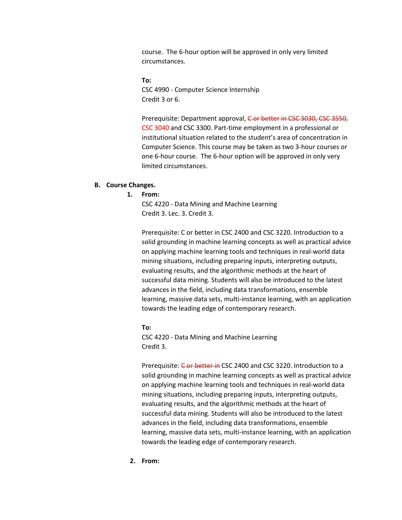course. The 6-hour option will be approved in only very limited circumstances.

**To:** CSC 4990 - Computer Science Internship Credit 3 or 6.

Prerequisite: Department approval, C or better in CSC 3030, CSC 3550, CSC 3040 and CSC 3300. Part-time employment in a professional or institutional situation related to the student's area of concentration in Computer Science. This course may be taken as two 3-hour courses or one 6-hour course. The 6-hour option will be approved in only very limited circumstances.

# **B. Course Changes.**

# **1. From:**

CSC 4220 - Data Mining and Machine Learning Credit 3. Lec. 3. Credit 3.

Prerequisite: C or better in CSC 2400 and CSC 3220. Introduction to a solid grounding in machine learning concepts as well as practical advice on applying machine learning tools and techniques in real-world data mining situations, including preparing inputs, interpreting outputs, evaluating results, and the algorithmic methods at the heart of successful data mining. Students will also be introduced to the latest advances in the field, including data transformations, ensemble learning, massive data sets, multi-instance learning, with an application towards the leading edge of contemporary research.

**To:** CSC 4220 - Data Mining and Machine Learning Credit 3.

Prerequisite: Cor better in CSC 2400 and CSC 3220. Introduction to a solid grounding in machine learning concepts as well as practical advice on applying machine learning tools and techniques in real-world data mining situations, including preparing inputs, interpreting outputs, evaluating results, and the algorithmic methods at the heart of successful data mining. Students will also be introduced to the latest advances in the field, including data transformations, ensemble learning, massive data sets, multi-instance learning, with an application towards the leading edge of contemporary research.

**2. From:**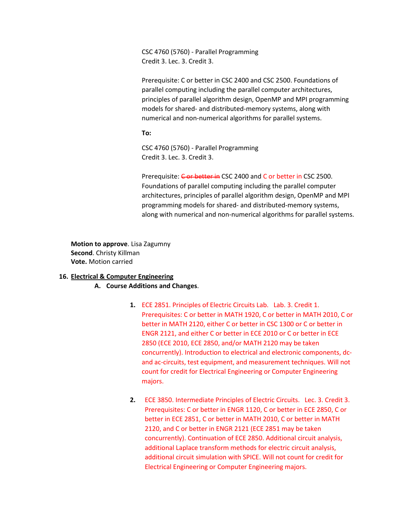CSC 4760 (5760) - Parallel Programming Credit 3. Lec. 3. Credit 3.

Prerequisite: C or better in CSC 2400 and CSC 2500. Foundations of parallel computing including the parallel computer architectures, principles of parallel algorithm design, OpenMP and MPI programming models for shared- and distributed-memory systems, along with numerical and non-numerical algorithms for parallel systems.

**To:**

CSC 4760 (5760) - Parallel Programming Credit 3. Lec. 3. Credit 3.

Prerequisite: Cor better in CSC 2400 and C or better in CSC 2500. Foundations of parallel computing including the parallel computer architectures, principles of parallel algorithm design, OpenMP and MPI programming models for shared- and distributed-memory systems, along with numerical and non-numerical algorithms for parallel systems.

**Motion to approve**. Lisa Zagumny **Second**. Christy Killman **Vote.** Motion carried

# **16. Electrical & Computer Engineering**

# **A. Course Additions and Changes**.

- **1.** ECE 2851. Principles of Electric Circuits Lab. Lab. 3. Credit 1. Prerequisites: C or better in MATH 1920, C or better in MATH 2010, C or better in MATH 2120, either C or better in CSC 1300 or C or better in ENGR 2121, and either C or better in ECE 2010 or C or better in ECE 2850 (ECE 2010, ECE 2850, and/or MATH 2120 may be taken concurrently). Introduction to electrical and electronic components, dcand ac-circuits, test equipment, and measurement techniques. Will not count for credit for Electrical Engineering or Computer Engineering majors.
- **2.** ECE 3850. Intermediate Principles of Electric Circuits. Lec. 3. Credit 3. Prerequisites: C or better in ENGR 1120, C or better in ECE 2850, C or better in ECE 2851, C or better in MATH 2010, C or better in MATH 2120, and C or better in ENGR 2121 (ECE 2851 may be taken concurrently). Continuation of ECE 2850. Additional circuit analysis, additional Laplace transform methods for electric circuit analysis, additional circuit simulation with SPICE. Will not count for credit for Electrical Engineering or Computer Engineering majors.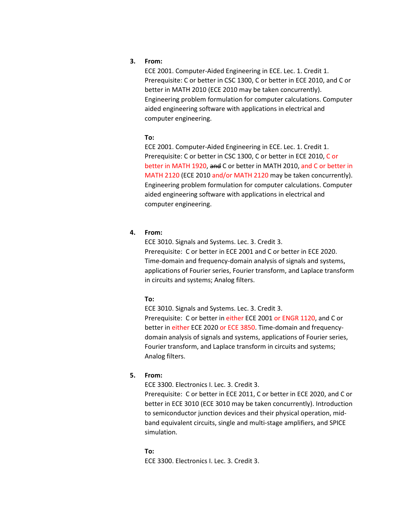# **3. From:**

ECE 2001. Computer-Aided Engineering in ECE. Lec. 1. Credit 1. Prerequisite: C or better in CSC 1300, C or better in ECE 2010, and C or better in MATH 2010 (ECE 2010 may be taken concurrently). Engineering problem formulation for computer calculations. Computer aided engineering software with applications in electrical and computer engineering.

# **To:**

ECE 2001. Computer-Aided Engineering in ECE. Lec. 1. Credit 1. Prerequisite: C or better in CSC 1300, C or better in ECE 2010, C or better in MATH 1920, and C or better in MATH 2010, and C or better in MATH 2120 (ECE 2010 and/or MATH 2120 may be taken concurrently). Engineering problem formulation for computer calculations. Computer aided engineering software with applications in electrical and computer engineering.

# **4. From:**

ECE 3010. Signals and Systems. Lec. 3. Credit 3. Prerequisite: C or better in ECE 2001 and C or better in ECE 2020. Time-domain and frequency-domain analysis of signals and systems, applications of Fourier series, Fourier transform, and Laplace transform in circuits and systems; Analog filters.

# **To:**

ECE 3010. Signals and Systems. Lec. 3. Credit 3.

Prerequisite: C or better in either ECE 2001 or ENGR 1120, and C or better in either ECE 2020 or ECE 3850. Time-domain and frequencydomain analysis of signals and systems, applications of Fourier series, Fourier transform, and Laplace transform in circuits and systems; Analog filters.

# **5. From:**

ECE 3300. Electronics I. Lec. 3. Credit 3.

Prerequisite: C or better in ECE 2011, C or better in ECE 2020, and C or better in ECE 3010 (ECE 3010 may be taken concurrently). Introduction to semiconductor junction devices and their physical operation, midband equivalent circuits, single and multi-stage amplifiers, and SPICE simulation.

## **To:**

ECE 3300. Electronics I. Lec. 3. Credit 3.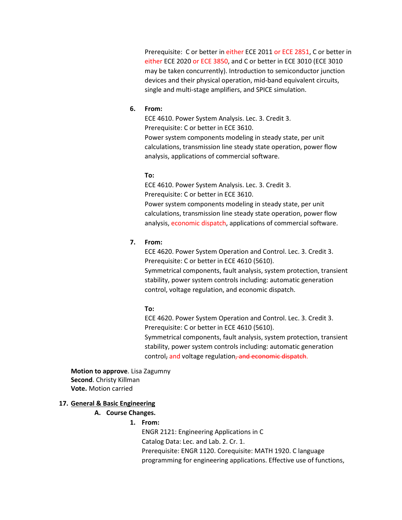Prerequisite: C or better in either ECE 2011 or ECE 2851, C or better in either ECE 2020 or ECE 3850, and C or better in ECE 3010 (ECE 3010 may be taken concurrently). Introduction to semiconductor junction devices and their physical operation, mid-band equivalent circuits, single and multi-stage amplifiers, and SPICE simulation.

### **6. From:**

ECE 4610. Power System Analysis. Lec. 3. Credit 3. Prerequisite: C or better in ECE 3610.

Power system components modeling in steady state, per unit calculations, transmission line steady state operation, power flow analysis, applications of commercial software.

#### **To:**

ECE 4610. Power System Analysis. Lec. 3. Credit 3. Prerequisite: C or better in ECE 3610. Power system components modeling in steady state, per unit calculations, transmission line steady state operation, power flow analysis, economic dispatch, applications of commercial software.

# **7. From:**

ECE 4620. Power System Operation and Control. Lec. 3. Credit 3. Prerequisite: C or better in ECE 4610 (5610). Symmetrical components, fault analysis, system protection, transient stability, power system controls including: automatic generation control, voltage regulation, and economic dispatch.

#### **To:**

ECE 4620. Power System Operation and Control. Lec. 3. Credit 3. Prerequisite: C or better in ECE 4610 (5610). Symmetrical components, fault analysis, system protection, transient stability, power system controls including: automatic generation control, and voltage regulation, and economic dispatch.

**Motion to approve**. Lisa Zagumny **Second**. Christy Killman **Vote.** Motion carried

### **17. General & Basic Engineering**

# **A. Course Changes.**

# **1. From:**

ENGR 2121: Engineering Applications in C Catalog Data: Lec. and Lab. 2. Cr. 1. Prerequisite: ENGR 1120. Corequisite: MATH 1920. C language programming for engineering applications. Effective use of functions,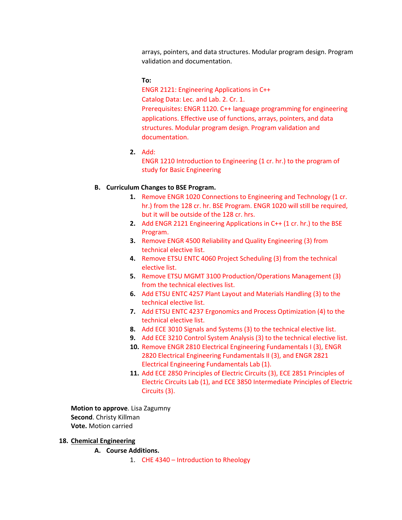arrays, pointers, and data structures. Modular program design. Program validation and documentation.

**To:**

ENGR 2121: Engineering Applications in C++ Catalog Data: Lec. and Lab. 2. Cr. 1. Prerequisites: ENGR 1120. C++ language programming for engineering applications. Effective use of functions, arrays, pointers, and data structures. Modular program design. Program validation and documentation.

**2.** Add:

ENGR 1210 Introduction to Engineering (1 cr. hr.) to the program of study for Basic Engineering

# **B. Curriculum Changes to BSE Program.**

- **1.** Remove ENGR 1020 Connections to Engineering and Technology (1 cr. hr.) from the 128 cr. hr. BSE Program. ENGR 1020 will still be required, but it will be outside of the 128 cr. hrs.
- **2.** Add ENGR 2121 Engineering Applications in C++ (1 cr. hr.) to the BSE Program.
- **3.** Remove ENGR 4500 Reliability and Quality Engineering (3) from technical elective list.
- **4.** Remove ETSU ENTC 4060 Project Scheduling (3) from the technical elective list.
- **5.** Remove ETSU MGMT 3100 Production/Operations Management (3) from the technical electives list.
- **6.** Add ETSU ENTC 4257 Plant Layout and Materials Handling (3) to the technical elective list.
- **7.** Add ETSU ENTC 4237 Ergonomics and Process Optimization (4) to the technical elective list.
- **8.** Add ECE 3010 Signals and Systems (3) to the technical elective list.
- **9.** Add ECE 3210 Control System Analysis (3) to the technical elective list.
- **10.** Remove ENGR 2810 Electrical Engineering Fundamentals I (3), ENGR 2820 Electrical Engineering Fundamentals II (3), and ENGR 2821 Electrical Engineering Fundamentals Lab (1).
- **11.** Add ECE 2850 Principles of Electric Circuits (3), ECE 2851 Principles of Electric Circuits Lab (1), and ECE 3850 Intermediate Principles of Electric Circuits (3).

**Motion to approve**. Lisa Zagumny **Second**. Christy Killman **Vote.** Motion carried

## **18. Chemical Engineering**

**A. Course Additions.** 

1. CHE 4340 – Introduction to Rheology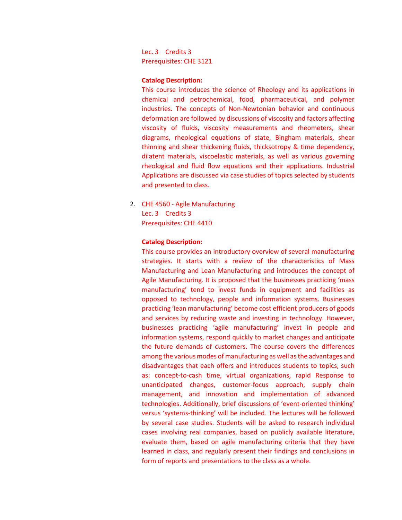Lec. 3 Credits 3 Prerequisites: CHE 3121

## **Catalog Description:**

This course introduces the science of Rheology and its applications in chemical and petrochemical, food, pharmaceutical, and polymer industries. The concepts of Non-Newtonian behavior and continuous deformation are followed by discussions of viscosity and factors affecting viscosity of fluids, viscosity measurements and rheometers, shear diagrams, rheological equations of state, Bingham materials, shear thinning and shear thickening fluids, thicksotropy & time dependency, dilatent materials, viscoelastic materials, as well as various governing rheological and fluid flow equations and their applications. Industrial Applications are discussed via case studies of topics selected by students and presented to class.

2. CHE 4560 - Agile Manufacturing Lec. 3 Credits 3 Prerequisites: CHE 4410

#### **Catalog Description:**

This course provides an introductory overview of several manufacturing strategies. It starts with a review of the characteristics of Mass Manufacturing and Lean Manufacturing and introduces the concept of Agile Manufacturing. It is proposed that the businesses practicing 'mass manufacturing' tend to invest funds in equipment and facilities as opposed to technology, people and information systems. Businesses practicing 'lean manufacturing' become cost efficient producers of goods and services by reducing waste and investing in technology. However, businesses practicing 'agile manufacturing' invest in people and information systems, respond quickly to market changes and anticipate the future demands of customers. The course covers the differences among the various modes of manufacturing as well as the advantages and disadvantages that each offers and introduces students to topics, such as: concept-to-cash time, virtual organizations, rapid Response to unanticipated changes, customer-focus approach, supply chain management, and innovation and implementation of advanced technologies. Additionally, brief discussions of 'event-oriented thinking' versus 'systems-thinking' will be included. The lectures will be followed by several case studies. Students will be asked to research individual cases involving real companies, based on publicly available literature, evaluate them, based on agile manufacturing criteria that they have learned in class, and regularly present their findings and conclusions in form of reports and presentations to the class as a whole.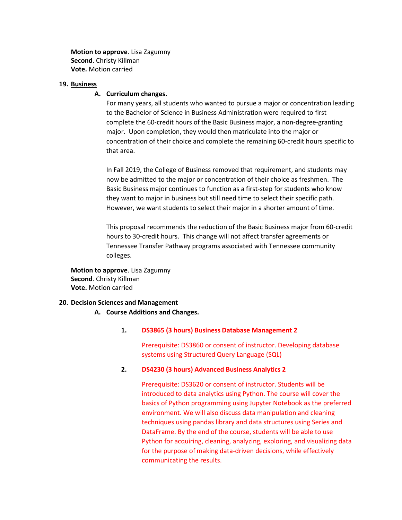**Motion to approve**. Lisa Zagumny **Second**. Christy Killman **Vote.** Motion carried

### **19. Business**

# **A. Curriculum changes.**

For many years, all students who wanted to pursue a major or concentration leading to the Bachelor of Science in Business Administration were required to first complete the 60-credit hours of the Basic Business major, a non-degree-granting major. Upon completion, they would then matriculate into the major or concentration of their choice and complete the remaining 60-credit hours specific to that area.

In Fall 2019, the College of Business removed that requirement, and students may now be admitted to the major or concentration of their choice as freshmen. The Basic Business major continues to function as a first-step for students who know they want to major in business but still need time to select their specific path. However, we want students to select their major in a shorter amount of time.

This proposal recommends the reduction of the Basic Business major from 60-credit hours to 30-credit hours. This change will not affect transfer agreements or Tennessee Transfer Pathway programs associated with Tennessee community colleges.

**Motion to approve**. Lisa Zagumny **Second**. Christy Killman **Vote.** Motion carried

### **20. Decision Sciences and Management**

# **A. Course Additions and Changes.**

# **1. DS3865 (3 hours) Business Database Management 2**

Prerequisite: DS3860 or consent of instructor. Developing database systems using Structured Query Language (SQL)

#### **2. DS4230 (3 hours) Advanced Business Analytics 2**

Prerequisite: DS3620 or consent of instructor. Students will be introduced to data analytics using Python. The course will cover the basics of Python programming using Jupyter Notebook as the preferred environment. We will also discuss data manipulation and cleaning techniques using pandas library and data structures using Series and DataFrame. By the end of the course, students will be able to use Python for acquiring, cleaning, analyzing, exploring, and visualizing data for the purpose of making data-driven decisions, while effectively communicating the results.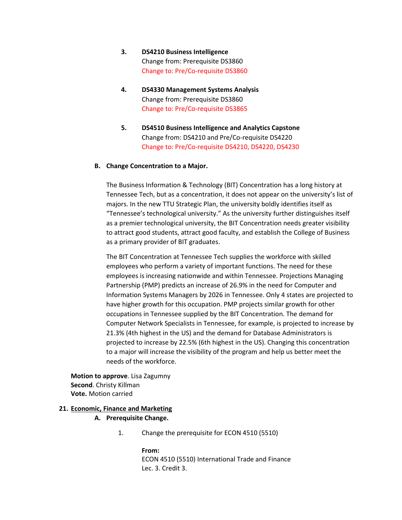- **3. DS4210 Business Intelligence** Change from: Prerequisite DS3860 Change to: Pre/Co-requisite DS3860
- **4. DS4330 Management Systems Analysis** Change from: Prerequisite DS3860 Change to: Pre/Co-requisite DS3865
- **5. DS4510 Business Intelligence and Analytics Capstone** Change from: DS4210 and Pre/Co-requisite DS4220 Change to: Pre/Co-requisite DS4210, DS4220, DS4230

# **B. Change Concentration to a Major.**

The Business Information & Technology (BIT) Concentration has a long history at Tennessee Tech, but as a concentration, it does not appear on the university's list of majors. In the new TTU Strategic Plan, the university boldly identifies itself as "Tennessee's technological university." As the university further distinguishes itself as a premier technological university, the BIT Concentration needs greater visibility to attract good students, attract good faculty, and establish the College of Business as a primary provider of BIT graduates.

The BIT Concentration at Tennessee Tech supplies the workforce with skilled employees who perform a variety of important functions. The need for these employees is increasing nationwide and within Tennessee. Projections Managing Partnership (PMP) predicts an increase of 26.9% in the need for Computer and Information Systems Managers by 2026 in Tennessee. Only 4 states are projected to have higher growth for this occupation. PMP projects similar growth for other occupations in Tennessee supplied by the BIT Concentration. The demand for Computer Network Specialists in Tennessee, for example, is projected to increase by 21.3% (4th highest in the US) and the demand for Database Administrators is projected to increase by 22.5% (6th highest in the US). Changing this concentration to a major will increase the visibility of the program and help us better meet the needs of the workforce.

**Motion to approve**. Lisa Zagumny **Second**. Christy Killman **Vote.** Motion carried

#### **21. Economic, Finance and Marketing**

## **A. Prerequisite Change.**

1. Change the prerequisite for ECON 4510 (5510)

**From:** ECON 4510 (5510) International Trade and Finance Lec. 3. Credit 3.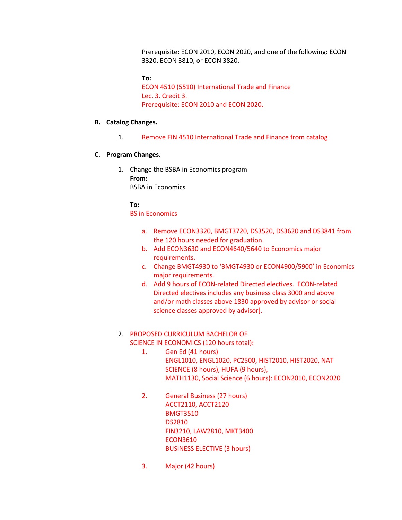Prerequisite: ECON 2010, ECON 2020, and one of the following: ECON 3320, ECON 3810, or ECON 3820.

**To:**  ECON 4510 (5510) International Trade and Finance Lec. 3. Credit 3. Prerequisite: ECON 2010 and ECON 2020.

# **B. Catalog Changes.**

1. Remove FIN 4510 International Trade and Finance from catalog

# **C. Program Changes.**

1. Change the BSBA in Economics program **From:**  BSBA in Economics

# **To:**

BS in Economics

- a. Remove ECON3320, BMGT3720, DS3520, DS3620 and DS3841 from the 120 hours needed for graduation.
- b. Add ECON3630 and ECON4640/5640 to Economics major requirements.
- c. Change BMGT4930 to 'BMGT4930 or ECON4900/5900' in Economics major requirements.
- d. Add 9 hours of ECON-related Directed electives. ECON-related Directed electives includes any business class 3000 and above and/or math classes above 1830 approved by advisor or social science classes approved by advisor].

# 2. PROPOSED CURRICULUM BACHELOR OF SCIENCE IN ECONOMICS (120 hours total):

- 1. Gen Ed (41 hours) ENGL1010, ENGL1020, PC2500, HIST2010, HIST2020, NAT SCIENCE (8 hours), HUFA (9 hours), MATH1130, Social Science (6 hours): ECON2010, ECON2020
- 2. General Business (27 hours) ACCT2110, ACCT2120 BMGT3510 DS2810 FIN3210, LAW2810, MKT3400 ECON3610 BUSINESS ELECTIVE (3 hours)
- 3. Major (42 hours)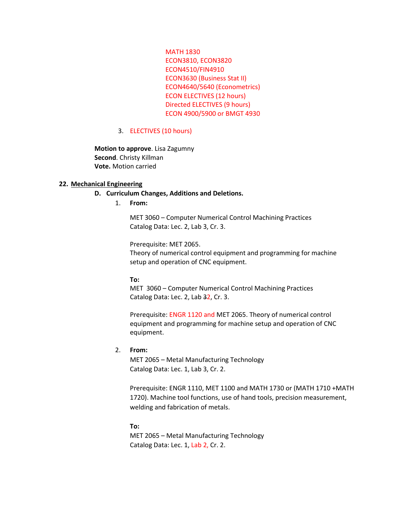MATH 1830 ECON3810, ECON3820 ECON4510/FIN4910 ECON3630 (Business Stat II) ECON4640/5640 (Econometrics) ECON ELECTIVES (12 hours) Directed ELECTIVES (9 hours) ECON 4900/5900 or BMGT 4930

# 3. ELECTIVES (10 hours)

**Motion to approve**. Lisa Zagumny **Second**. Christy Killman **Vote.** Motion carried

# **22. Mechanical Engineering**

# **D. Curriculum Changes, Additions and Deletions.**

1. **From:**

MET 3060 – Computer Numerical Control Machining Practices Catalog Data: Lec. 2, Lab 3, Cr. 3.

Prerequisite: MET 2065.

Theory of numerical control equipment and programming for machine setup and operation of CNC equipment.

#### **To:**

MET 3060 – Computer Numerical Control Machining Practices Catalog Data: Lec. 2, Lab 32, Cr. 3.

Prerequisite: ENGR 1120 and MET 2065. Theory of numerical control equipment and programming for machine setup and operation of CNC equipment.

# 2. **From:**

MET 2065 – Metal Manufacturing Technology Catalog Data: Lec. 1, Lab 3, Cr. 2.

Prerequisite: ENGR 1110, MET 1100 and MATH 1730 or (MATH 1710 +MATH 1720). Machine tool functions, use of hand tools, precision measurement, welding and fabrication of metals.

#### **To:**

MET 2065 – Metal Manufacturing Technology Catalog Data: Lec. 1, Lab 2, Cr. 2.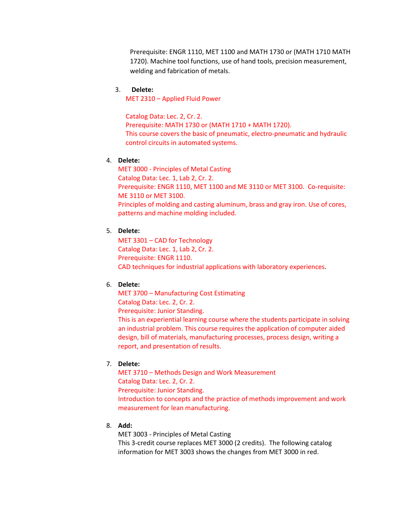Prerequisite: ENGR 1110, MET 1100 and MATH 1730 or (MATH 1710 MATH 1720). Machine tool functions, use of hand tools, precision measurement, welding and fabrication of metals.

# 3. **Delete:**

MET 2310 – Applied Fluid Power

Catalog Data: Lec. 2, Cr. 2. Prerequisite: MATH 1730 or (MATH 1710 + MATH 1720). This course covers the basic of pneumatic, electro-pneumatic and hydraulic control circuits in automated systems.

# 4. **Delete:**

MET 3000 - Principles of Metal Casting Catalog Data: Lec. 1, Lab 2, Cr. 2. Prerequisite: ENGR 1110, MET 1100 and ME 3110 or MET 3100. Co-requisite: ME 3110 or MET 3100. Principles of molding and casting aluminum, brass and gray iron. Use of cores, patterns and machine molding included.

# 5. **Delete:**

MET 3301 – CAD for Technology Catalog Data: Lec. 1, Lab 2, Cr. 2. Prerequisite: ENGR 1110. CAD techniques for industrial applications with laboratory experiences.

# 6. **Delete:**

MET 3700 – Manufacturing Cost Estimating Catalog Data: Lec. 2, Cr. 2. Prerequisite: Junior Standing. This is an experiential learning course where the students participate in solving an industrial problem. This course requires the application of computer aided design, bill of materials, manufacturing processes, process design, writing a report, and presentation of results.

# 7. **Delete:**

MET 3710 – Methods Design and Work Measurement Catalog Data: Lec. 2, Cr. 2. Prerequisite: Junior Standing. Introduction to concepts and the practice of methods improvement and work measurement for lean manufacturing.

# 8. **Add:**

MET 3003 - Principles of Metal Casting

This 3-credit course replaces MET 3000 (2 credits). The following catalog information for MET 3003 shows the changes from MET 3000 in red.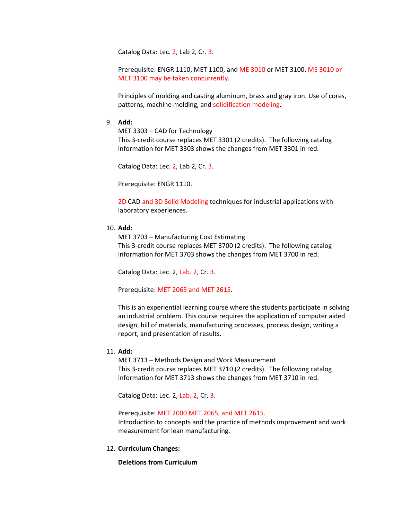Catalog Data: Lec. 2, Lab 2, Cr. 3.

Prerequisite: ENGR 1110, MET 1100, and ME 3010 or MET 3100. ME 3010 or MET 3100 may be taken concurrently.

Principles of molding and casting aluminum, brass and gray iron. Use of cores, patterns, machine molding, and solidification modeling.

### 9. **Add:**

MET 3303 – CAD for Technology This 3-credit course replaces MET 3301 (2 credits). The following catalog information for MET 3303 shows the changes from MET 3301 in red.

Catalog Data: Lec. 2, Lab 2, Cr. 3.

Prerequisite: ENGR 1110.

2D CAD and 3D Solid Modeling techniques for industrial applications with laboratory experiences.

# 10. **Add:**

MET 3703 – Manufacturing Cost Estimating This 3-credit course replaces MET 3700 (2 credits). The following catalog information for MET 3703 shows the changes from MET 3700 in red.

Catalog Data: Lec. 2, Lab. 2, Cr. 3.

Prerequisite: MET 2065 and MET 2615.

This is an experiential learning course where the students participate in solving an industrial problem. This course requires the application of computer aided design, bill of materials, manufacturing processes, process design, writing a report, and presentation of results.

# 11. **Add:**

MET 3713 – Methods Design and Work Measurement This 3-credit course replaces MET 3710 (2 credits). The following catalog information for MET 3713 shows the changes from MET 3710 in red.

Catalog Data: Lec. 2, Lab. 2, Cr. 3.

Prerequisite: MET 2000 MET 2065, and MET 2615. Introduction to concepts and the practice of methods improvement and work measurement for lean manufacturing.

12. **Curriculum Changes:**

**Deletions from Curriculum**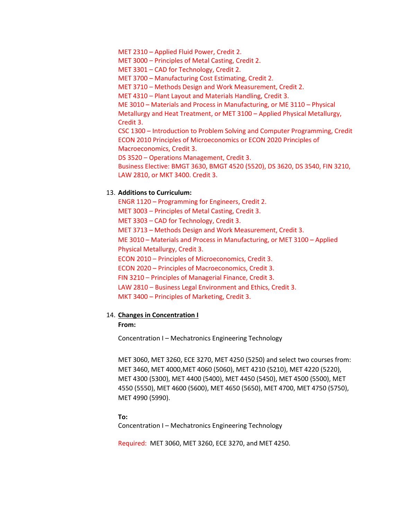MET 2310 – Applied Fluid Power, Credit 2.

MET 3000 – Principles of Metal Casting, Credit 2.

MET 3301 – CAD for Technology, Credit 2.

MET 3700 – Manufacturing Cost Estimating, Credit 2.

MET 3710 – Methods Design and Work Measurement, Credit 2.

MET 4310 – Plant Layout and Materials Handling, Credit 3.

ME 3010 – Materials and Process in Manufacturing, or ME 3110 – Physical

Metallurgy and Heat Treatment, or MET 3100 – Applied Physical Metallurgy, Credit 3.

CSC 1300 – Introduction to Problem Solving and Computer Programming, Credit ECON 2010 Principles of Microeconomics or ECON 2020 Principles of Macroeconomics, Credit 3.

DS 3520 – Operations Management, Credit 3.

Business Elective: BMGT 3630, BMGT 4520 (5520), DS 3620, DS 3540, FIN 3210, LAW 2810, or MKT 3400. Credit 3.

# 13. **Additions to Curriculum:**

ENGR 1120 – Programming for Engineers, Credit 2. MET 3003 – Principles of Metal Casting, Credit 3. MET 3303 – CAD for Technology, Credit 3. MET 3713 – Methods Design and Work Measurement, Credit 3. ME 3010 – Materials and Process in Manufacturing, or MET 3100 – Applied Physical Metallurgy, Credit 3. ECON 2010 – Principles of Microeconomics, Credit 3. ECON 2020 – Principles of Macroeconomics, Credit 3. FIN 3210 – Principles of Managerial Finance, Credit 3. LAW 2810 – Business Legal Environment and Ethics, Credit 3. MKT 3400 – Principles of Marketing, Credit 3.

## 14. **Changes in Concentration I**

# **From:**

Concentration I – Mechatronics Engineering Technology

MET 3060, MET 3260, ECE 3270, MET 4250 (5250) and select two courses from: MET 3460, MET 4000,MET 4060 (5060), MET 4210 (5210), MET 4220 (5220), MET 4300 (5300), MET 4400 (5400), MET 4450 (5450), MET 4500 (5500), MET 4550 (5550), MET 4600 (5600), MET 4650 (5650), MET 4700, MET 4750 (5750), MET 4990 (5990).

#### **To:**

Concentration I – Mechatronics Engineering Technology

Required: MET 3060, MET 3260, ECE 3270, and MET 4250.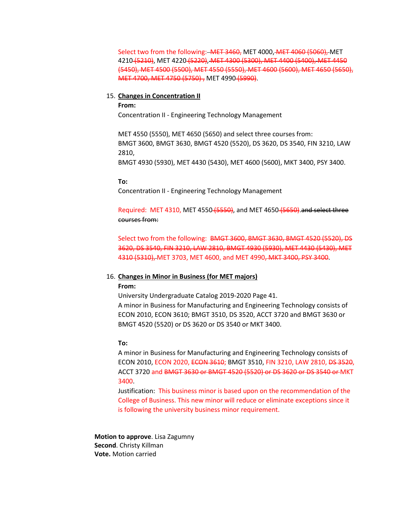Select two from the following: - MET 3460, MET 4000, MET 4060 (5060), MET 4210 (5210), MET 4220 (5220), MET 4300 (5300), MET 4400 (5400), MET 4450 (5450), MET 4500 (5500), MET 4550 (5550), MET 4600 (5600), MET 4650 (5650), MET 4700, MET 4750 (5750), MET 4990 (5990).

### 15. **Changes in Concentration II**

**From:** Concentration II - Engineering Technology Management

MET 4550 (5550), MET 4650 (5650) and select three courses from: BMGT 3600, BMGT 3630, BMGT 4520 (5520), DS 3620, DS 3540, FIN 3210, LAW 2810,

BMGT 4930 (5930), MET 4430 (5430), MET 4600 (5600), MKT 3400, PSY 3400.

#### **To:**

Concentration II - Engineering Technology Management

Required: MET 4310, MET 4550 (5550), and MET 4650 (5650).and select three courses from:

Select two from the following: BMGT 3600, BMGT 3630, BMGT 4520 (5520), DS 3620, DS 3540, FIN 3210, LAW 2810, BMGT 4930 (5930), MET 4430 (5430), MET 4310 (5310), MET 3703, MET 4600, and MET 4990, MKT 3400, PSY 3400.

#### 16. **Changes in Minor in Business (for MET majors)**

#### **From:**

University Undergraduate Catalog 2019-2020 Page 41. A minor in Business for Manufacturing and Engineering Technology consists of ECON 2010, ECON 3610; BMGT 3510, DS 3520, ACCT 3720 and BMGT 3630 or BMGT 4520 (5520) or DS 3620 or DS 3540 or MKT 3400.

### **To:**

A minor in Business for Manufacturing and Engineering Technology consists of ECON 2010, ECON 2020, ECON 3610; BMGT 3510, FIN 3210, LAW 2810, DS 3520, ACCT 3720 and BMGT 3630 or BMGT 4520 (5520) or DS 3620 or DS 3540 or MKT 3400.

Justification: This business minor is based upon on the recommendation of the College of Business. This new minor will reduce or eliminate exceptions since it is following the university business minor requirement.

**Motion to approve**. Lisa Zagumny **Second**. Christy Killman **Vote.** Motion carried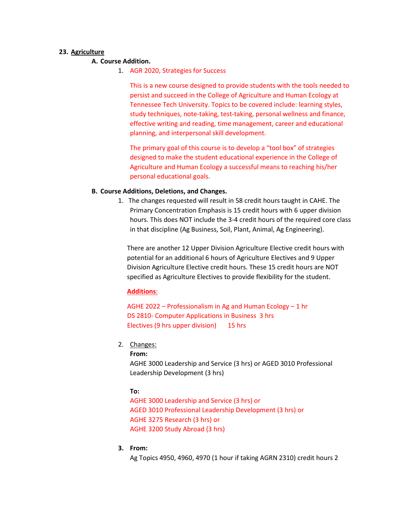# **23. Agriculture**

# **A. Course Addition.**

1. AGR 2020, Strategies for Success

This is a new course designed to provide students with the tools needed to persist and succeed in the College of Agriculture and Human Ecology at Tennessee Tech University. Topics to be covered include: learning styles, study techniques, note-taking, test-taking, personal wellness and finance, effective writing and reading, time management, career and educational planning, and interpersonal skill development.

The primary goal of this course is to develop a "tool box" of strategies designed to make the student educational experience in the College of Agriculture and Human Ecology a successful means to reaching his/her personal educational goals.

# **B. Course Additions, Deletions, and Changes.**

1. The changes requested will result in 58 credit hours taught in CAHE. The Primary Concentration Emphasis is 15 credit hours with 6 upper division hours. This does NOT include the 3-4 credit hours of the required core class in that discipline (Ag Business, Soil, Plant, Animal, Ag Engineering).

There are another 12 Upper Division Agriculture Elective credit hours with potential for an additional 6 hours of Agriculture Electives and 9 Upper Division Agriculture Elective credit hours. These 15 credit hours are NOT specified as Agriculture Electives to provide flexibility for the student.

# **Additions**:

AGHE 2022 – Professionalism in Ag and Human Ecology – 1 hr DS 2810- Computer Applications in Business 3 hrs Electives (9 hrs upper division) 15 hrs

2. Changes:

```
From:
```
AGHE 3000 Leadership and Service (3 hrs) or AGED 3010 Professional Leadership Development (3 hrs)

# **To:**

AGHE 3000 Leadership and Service (3 hrs) or AGED 3010 Professional Leadership Development (3 hrs) or AGHE 3275 Research (3 hrs) or AGHE 3200 Study Abroad (3 hrs)

**3. From:**

Ag Topics 4950, 4960, 4970 (1 hour if taking AGRN 2310) credit hours 2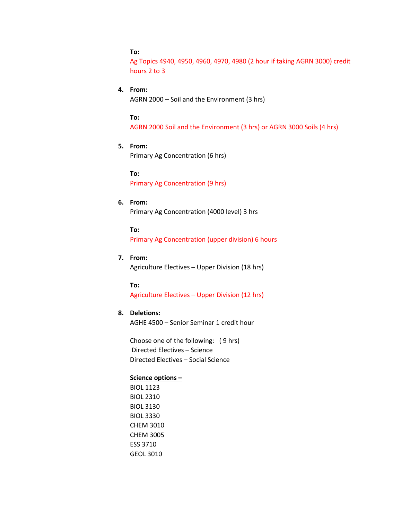# **To:**

Ag Topics 4940, 4950, 4960, 4970, 4980 (2 hour if taking AGRN 3000) credit hours 2 to 3

# **4. From:**

AGRN 2000 – Soil and the Environment (3 hrs)

**To:**

AGRN 2000 Soil and the Environment (3 hrs) or AGRN 3000 Soils (4 hrs)

**5. From:**

Primary Ag Concentration (6 hrs)

**To:** Primary Ag Concentration (9 hrs)

# **6. From:**

Primary Ag Concentration (4000 level) 3 hrs

**To:**

Primary Ag Concentration (upper division) 6 hours

# **7. From:**

Agriculture Electives – Upper Division (18 hrs)

# **To:**

Agriculture Electives – Upper Division (12 hrs)

# **8. Deletions:**

AGHE 4500 – Senior Seminar 1 credit hour

Choose one of the following: ( 9 hrs) Directed Electives – Science Directed Electives – Social Science

# **Science options –**

BIOL 1123 BIOL 2310 BIOL 3130 BIOL 3330 CHEM 3010 CHEM 3005 ESS 3710 GEOL 3010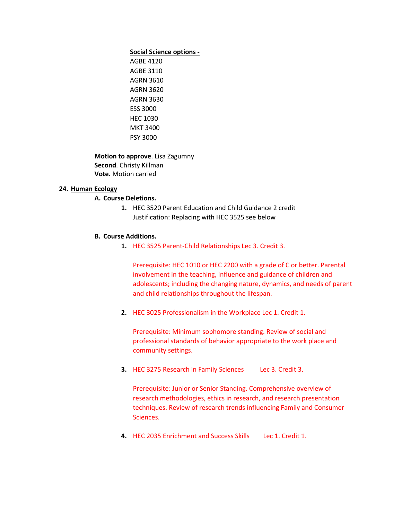#### **Social Science options -**

AGBE 4120 AGBE 3110 AGRN 3610 AGRN 3620 AGRN 3630 ESS 3000 HEC 1030 MKT 3400 PSY 3000

**Motion to approve**. Lisa Zagumny **Second**. Christy Killman **Vote.** Motion carried

## **24. Human Ecology**

# **A. Course Deletions.**

**1.** HEC 3520 Parent Education and Child Guidance 2 credit Justification: Replacing with HEC 3525 see below

# **B. Course Additions.**

**1.** HEC 3525 Parent-Child Relationships Lec 3. Credit 3.

Prerequisite: HEC 1010 or HEC 2200 with a grade of C or better. Parental involvement in the teaching, influence and guidance of children and adolescents; including the changing nature, dynamics, and needs of parent and child relationships throughout the lifespan.

**2.** HEC 3025 Professionalism in the Workplace Lec 1. Credit 1.

Prerequisite: Minimum sophomore standing. Review of social and professional standards of behavior appropriate to the work place and community settings.

**3.** HEC 3275 Research in Family Sciences Lec 3. Credit 3.

Prerequisite: Junior or Senior Standing. Comprehensive overview of research methodologies, ethics in research, and research presentation techniques. Review of research trends influencing Family and Consumer Sciences.

**4.** HEC 2035 Enrichment and Success Skills Lec 1. Credit 1.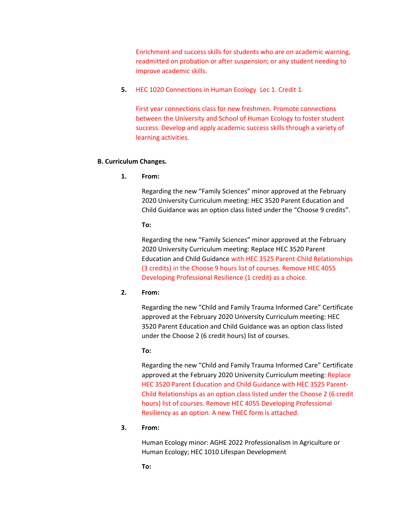Enrichment and success skills for students who are on academic warning, readmitted on probation or after suspension; or any student needing to improve academic skills.

**5.** HEC 1020 Connections in Human Ecology Lec 1. Credit 1.

First year connections class for new freshmen. Promote connections between the University and School of Human Ecology to foster student success. Develop and apply academic success skills through a variety of learning activities.

### **B. Curriculum Changes.**

**1. From:** 

Regarding the new "Family Sciences" minor approved at the February 2020 University Curriculum meeting: HEC 3520 Parent Education and Child Guidance was an option class listed under the "Choose 9 credits".

#### **To:**

Regarding the new "Family Sciences" minor approved at the February 2020 University Curriculum meeting: Replace HEC 3520 Parent Education and Child Guidance with HEC 3525 Parent-Child Relationships (3 credits) in the Choose 9 hours list of courses. Remove HEC 4055 Developing Professional Resilience (1 credit) as a choice.

### **2. From:**

Regarding the new "Child and Family Trauma Informed Care" Certificate approved at the February 2020 University Curriculum meeting: HEC 3520 Parent Education and Child Guidance was an option class listed under the Choose 2 (6 credit hours) list of courses.

### **To:**

Regarding the new "Child and Family Trauma Informed Care" Certificate approved at the February 2020 University Curriculum meeting: Replace HEC 3520 Parent Education and Child Guidance with HEC 3525 Parent-Child Relationships as an option class listed under the Choose 2 (6 credit hours) list of courses. Remove HEC 4055 Developing Professional Resiliency as an option. A new THEC form is attached.

# **3. From:**

Human Ecology minor: AGHE 2022 Professionalism in Agriculture or Human Ecology; HEC 1010 Lifespan Development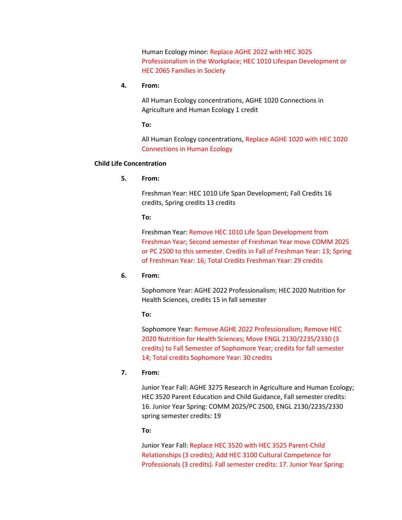Human Ecology minor: Replace AGHE 2022 with HEC 3025 Professionalism in the Workplace; HEC 1010 Lifespan Development or HEC 2065 Families in Society

**4. From:**

All Human Ecology concentrations, AGHE 1020 Connections in Agriculture and Human Ecology 1 credit

**To:**

All Human Ecology concentrations, Replace AGHE 1020 with HEC 1020 Connections in Human Ecology

### **Child Life Concentration**

**5. From:**

Freshman Year: HEC 1010 Life Span Development; Fall Credits 16 credits, Spring credits 13 credits

# **To:**

Freshman Year: Remove HEC 1010 Life Span Development from Freshman Year; Second semester of Freshman Year move COMM 2025 or PC 2500 to this semester. Credits in Fall of Freshman Year: 13; Spring of Freshman Year: 16; Total Credits Freshman Year: 29 credits

# **6. From:**

Sophomore Year: AGHE 2022 Professionalism; HEC 2020 Nutrition for Health Sciences, credits 15 in fall semester

#### **To:**

Sophomore Year: Remove AGHE 2022 Professionalism; Remove HEC 2020 Nutrition for Health Sciences; Move ENGL 2130/2235/2330 (3 credits) to Fall Semester of Sophomore Year; credits for fall semester 14; Total credits Sophomore Year: 30 credits

# **7. From:**

Junior Year Fall: AGHE 3275 Research in Agriculture and Human Ecology; HEC 3520 Parent Education and Child Guidance, Fall semester credits: 16. Junior Year Spring: COMM 2025/PC 2500, ENGL 2130/2235/2330 spring semester credits: 19

**To:**

Junior Year Fall: Replace HEC 3520 with HEC 3525 Parent-Child Relationships (3 credits); Add HEC 3100 Cultural Competence for Professionals (3 credits). Fall semester credits: 17. Junior Year Spring: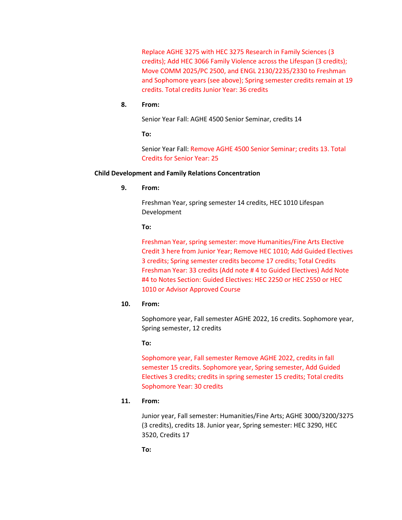Replace AGHE 3275 with HEC 3275 Research in Family Sciences (3 credits); Add HEC 3066 Family Violence across the Lifespan (3 credits); Move COMM 2025/PC 2500, and ENGL 2130/2235/2330 to Freshman and Sophomore years (see above); Spring semester credits remain at 19 credits. Total credits Junior Year: 36 credits

# **8. From:**

Senior Year Fall: AGHE 4500 Senior Seminar, credits 14

**To:**

Senior Year Fall: Remove AGHE 4500 Senior Seminar; credits 13. Total Credits for Senior Year: 25

## **Child Development and Family Relations Concentration**

**9. From:**

Freshman Year, spring semester 14 credits, HEC 1010 Lifespan Development

## **To:**

Freshman Year, spring semester: move Humanities/Fine Arts Elective Credit 3 here from Junior Year; Remove HEC 1010; Add Guided Electives 3 credits; Spring semester credits become 17 credits; Total Credits Freshman Year: 33 credits (Add note # 4 to Guided Electives) Add Note #4 to Notes Section: Guided Electives: HEC 2250 or HEC 2550 or HEC 1010 or Advisor Approved Course

#### **10. From:**

Sophomore year, Fall semester AGHE 2022, 16 credits. Sophomore year, Spring semester, 12 credits

**To:**

Sophomore year, Fall semester Remove AGHE 2022, credits in fall semester 15 credits. Sophomore year, Spring semester, Add Guided Electives 3 credits; credits in spring semester 15 credits; Total credits Sophomore Year: 30 credits

## **11. From:**

Junior year, Fall semester: Humanities/Fine Arts; AGHE 3000/3200/3275 (3 credits), credits 18. Junior year, Spring semester: HEC 3290, HEC 3520, Credits 17

**To:**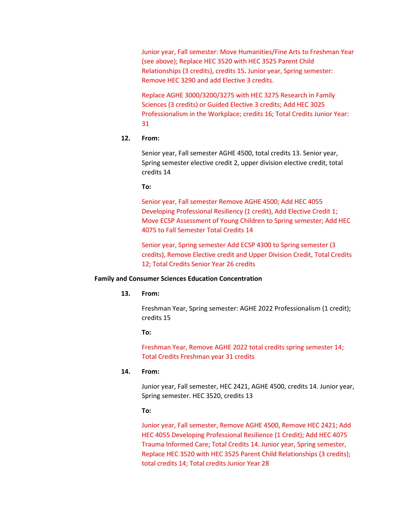Junior year, Fall semester: Move Humanities/Fine Arts to Freshman Year (see above); Replace HEC 3520 with HEC 3525 Parent Child Relationships (3 credits), credits 15**.** Junior year, Spring semester: Remove HEC 3290 and add Elective 3 credits.

Replace AGHE 3000/3200/3275 with HEC 3275 Research in Family Sciences (3 credits) or Guided Elective 3 credits; Add HEC 3025 Professionalism in the Workplace; credits 16; Total Credits Junior Year: 31

### **12. From:**

Senior year, Fall semester AGHE 4500, total credits 13. Senior year, Spring semester elective credit 2, upper division elective credit, total credits 14

**To:** 

Senior year, Fall semester Remove AGHE 4500; Add HEC 4055 Developing Professional Resiliency (1 credit), Add Elective Credit 1; Move ECSP Assessment of Young Children to Spring semester; Add HEC 4075 to Fall Semester Total Credits 14

Senior year, Spring semester Add ECSP 4300 to Spring semester (3 credits), Remove Elective credit and Upper Division Credit, Total Credits 12; Total Credits Senior Year 26 credits

#### **Family and Consumer Sciences Education Concentration**

#### **13. From:**

Freshman Year, Spring semester: AGHE 2022 Professionalism (1 credit); credits 15

**To:**

Freshman Year, Remove AGHE 2022 total credits spring semester 14; Total Credits Freshman year 31 credits

#### **14. From:**

Junior year, Fall semester, HEC 2421, AGHE 4500, credits 14. Junior year, Spring semester. HEC 3520, credits 13

#### **To:**

Junior year, Fall semester, Remove AGHE 4500, Remove HEC 2421; Add HEC 4055 Developing Professional Resilience (1 Credit); Add HEC 4075 Trauma Informed Care; Total Credits 14. Junior year, Spring semester, Replace HEC 3520 with HEC 3525 Parent Child Relationships (3 credits); total credits 14; Total credits Junior Year 28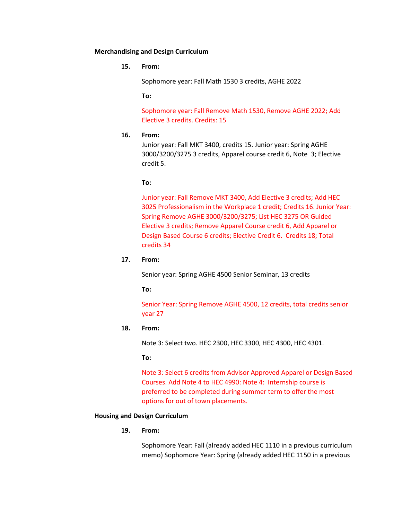### **Merchandising and Design Curriculum**

**15. From:**

Sophomore year: Fall Math 1530 3 credits, AGHE 2022

**To:**

Sophomore year: Fall Remove Math 1530, Remove AGHE 2022; Add Elective 3 credits. Credits: 15

### **16. From:**

Junior year: Fall MKT 3400, credits 15. Junior year: Spring AGHE 3000/3200/3275 3 credits, Apparel course credit 6, Note 3; Elective credit 5.

#### **To:**

Junior year: Fall Remove MKT 3400, Add Elective 3 credits; Add HEC 3025 Professionalism in the Workplace 1 credit; Credits 16. Junior Year: Spring Remove AGHE 3000/3200/3275; List HEC 3275 OR Guided Elective 3 credits; Remove Apparel Course credit 6, Add Apparel or Design Based Course 6 credits; Elective Credit 6. Credits 18; Total credits 34

# **17. From:**

Senior year: Spring AGHE 4500 Senior Seminar, 13 credits

**To:**

Senior Year: Spring Remove AGHE 4500, 12 credits, total credits senior year 27

## **18. From:**

Note 3: Select two. HEC 2300, HEC 3300, HEC 4300, HEC 4301.

**To:**

Note 3: Select 6 credits from Advisor Approved Apparel or Design Based Courses. Add Note 4 to HEC 4990: Note 4: Internship course is preferred to be completed during summer term to offer the most options for out of town placements.

#### **Housing and Design Curriculum**

### **19. From:**

Sophomore Year: Fall (already added HEC 1110 in a previous curriculum memo) Sophomore Year: Spring (already added HEC 1150 in a previous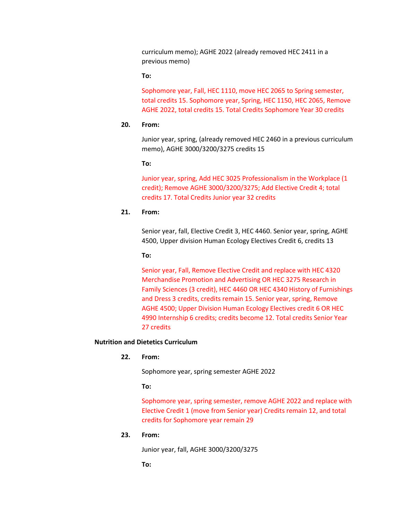curriculum memo); AGHE 2022 (already removed HEC 2411 in a previous memo)

**To:**

Sophomore year, Fall, HEC 1110, move HEC 2065 to Spring semester, total credits 15. Sophomore year, Spring, HEC 1150, HEC 2065, Remove AGHE 2022, total credits 15. Total Credits Sophomore Year 30 credits

## **20. From:**

Junior year, spring, (already removed HEC 2460 in a previous curriculum memo), AGHE 3000/3200/3275 credits 15

**To:**

Junior year, spring, Add HEC 3025 Professionalism in the Workplace (1 credit); Remove AGHE 3000/3200/3275; Add Elective Credit 4; total credits 17. Total Credits Junior year 32 credits

# **21. From:**

Senior year, fall, Elective Credit 3, HEC 4460. Senior year, spring, AGHE 4500, Upper division Human Ecology Electives Credit 6, credits 13

#### **To:**

Senior year, Fall, Remove Elective Credit and replace with HEC 4320 Merchandise Promotion and Advertising OR HEC 3275 Research in Family Sciences (3 credit), HEC 4460 OR HEC 4340 History of Furnishings and Dress 3 credits, credits remain 15. Senior year, spring, Remove AGHE 4500; Upper Division Human Ecology Electives credit 6 OR HEC 4990 Internship 6 credits; credits become 12. Total credits Senior Year 27 credits

#### **Nutrition and Dietetics Curriculum**

**22. From:** 

Sophomore year, spring semester AGHE 2022

# **To:**

Sophomore year, spring semester, remove AGHE 2022 and replace with Elective Credit 1 (move from Senior year) Credits remain 12, and total credits for Sophomore year remain 29

# **23. From:**

Junior year, fall, AGHE 3000/3200/3275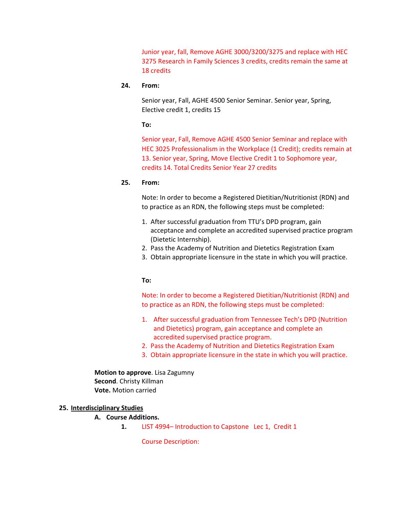Junior year, fall, Remove AGHE 3000/3200/3275 and replace with HEC 3275 Research in Family Sciences 3 credits, credits remain the same at 18 credits

# **24. From:**

Senior year, Fall, AGHE 4500 Senior Seminar. Senior year, Spring, Elective credit 1, credits 15

**To:**

Senior year, Fall, Remove AGHE 4500 Senior Seminar and replace with HEC 3025 Professionalism in the Workplace (1 Credit); credits remain at 13. Senior year, Spring, Move Elective Credit 1 to Sophomore year, credits 14. Total Credits Senior Year 27 credits

### **25. From:**

Note: In order to become a Registered Dietitian/Nutritionist (RDN) and to practice as an RDN, the following steps must be completed:

- 1. After successful graduation from TTU's DPD program, gain acceptance and complete an accredited supervised practice program (Dietetic Internship).
- 2. Pass the Academy of Nutrition and Dietetics Registration Exam
- 3. Obtain appropriate licensure in the state in which you will practice.

#### **To:**

Note: In order to become a Registered Dietitian/Nutritionist (RDN) and to practice as an RDN, the following steps must be completed:

- 1. After successful graduation from Tennessee Tech's DPD (Nutrition and Dietetics) program, gain acceptance and complete an accredited supervised practice program.
- 2. Pass the Academy of Nutrition and Dietetics Registration Exam
- 3. Obtain appropriate licensure in the state in which you will practice.

**Motion to approve**. Lisa Zagumny **Second**. Christy Killman **Vote.** Motion carried

### **25. Interdisciplinary Studies**

# **A. Course Additions.**

**1.** LIST 4994– Introduction to Capstone Lec 1, Credit 1

Course Description: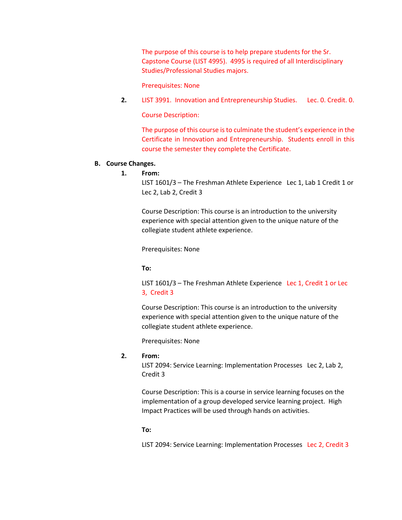The purpose of this course is to help prepare students for the Sr. Capstone Course (LIST 4995). 4995 is required of all Interdisciplinary Studies/Professional Studies majors.

Prerequisites: None

**2.** LIST 3991. Innovation and Entrepreneurship Studies. Lec. 0. Credit. 0.

Course Description:

The purpose of this course is to culminate the student's experience in the Certificate in Innovation and Entrepreneurship. Students enroll in this course the semester they complete the Certificate.

# **B. Course Changes.**

**1. From:**

LIST 1601/3 – The Freshman Athlete Experience Lec 1, Lab 1 Credit 1 or Lec 2, Lab 2, Credit 3

Course Description: This course is an introduction to the university experience with special attention given to the unique nature of the collegiate student athlete experience.

Prerequisites: None

**To:**

LIST 1601/3 – The Freshman Athlete Experience Lec 1, Credit 1 or Lec 3, Credit 3

Course Description: This course is an introduction to the university experience with special attention given to the unique nature of the collegiate student athlete experience.

Prerequisites: None

## **2. From:**

LIST 2094: Service Learning: Implementation Processes Lec 2, Lab 2, Credit 3

Course Description: This is a course in service learning focuses on the implementation of a group developed service learning project. High Impact Practices will be used through hands on activities.

**To:**

LIST 2094: Service Learning: Implementation Processes Lec 2, Credit 3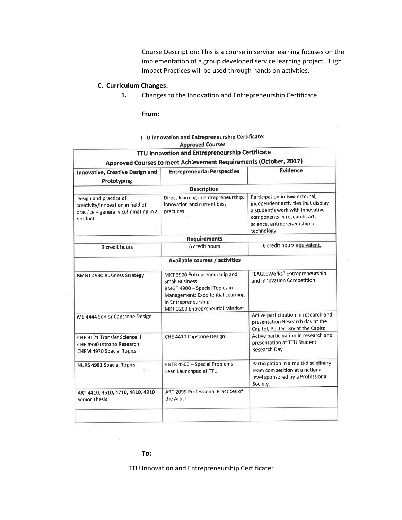Course Description: This is a course in service learning focuses on the implementation of a group developed service learning project. High Impact Practices will be used through hands on activities.

# **C. Curriculum Changes.**

**1.** Changes to the Innovation and Entrepreneurship Certificate

#### **From:**

| TTU Innovation and Entrepreneurship Certificate<br>Approved Courses to meet Achievement Requirements (October, 2017)<br><b>Evidence</b><br><b>Entrepreneurial Perspective</b><br>Innovative, Creative Design and<br>Prototyping<br><b>Description</b><br>Participation in two external,<br>Direct learning in entrepreneurship,<br>Design and practice of<br>independent activities that display<br>innovation and current best<br>creativity/innovation in field of<br>a student's work with innovative<br>practices<br>practice - generally culminating in a<br>components in research, art,<br>product<br>science, entrepreneurship or<br>technology.<br><b>Requirements</b> |
|---------------------------------------------------------------------------------------------------------------------------------------------------------------------------------------------------------------------------------------------------------------------------------------------------------------------------------------------------------------------------------------------------------------------------------------------------------------------------------------------------------------------------------------------------------------------------------------------------------------------------------------------------------------------------------|
|                                                                                                                                                                                                                                                                                                                                                                                                                                                                                                                                                                                                                                                                                 |
|                                                                                                                                                                                                                                                                                                                                                                                                                                                                                                                                                                                                                                                                                 |
|                                                                                                                                                                                                                                                                                                                                                                                                                                                                                                                                                                                                                                                                                 |
|                                                                                                                                                                                                                                                                                                                                                                                                                                                                                                                                                                                                                                                                                 |
|                                                                                                                                                                                                                                                                                                                                                                                                                                                                                                                                                                                                                                                                                 |
|                                                                                                                                                                                                                                                                                                                                                                                                                                                                                                                                                                                                                                                                                 |
|                                                                                                                                                                                                                                                                                                                                                                                                                                                                                                                                                                                                                                                                                 |
| 6 credit hours equivalent,<br>6 credit hours<br>3 credit hours                                                                                                                                                                                                                                                                                                                                                                                                                                                                                                                                                                                                                  |
| Available courses / activities                                                                                                                                                                                                                                                                                                                                                                                                                                                                                                                                                                                                                                                  |
| "EAGLEWorks" Entrepreneurship<br>MKT 3900 Entrepreneurship and<br><b>BMGT 4930 Business Strategy</b><br>and Innovation Competition<br><b>Small Business</b><br>BMGT 4900 - Special Topics in<br>Management: Experiential Learning<br>in Entrepreneurship<br>MKT 3200 Entrepreneurial Mindset                                                                                                                                                                                                                                                                                                                                                                                    |
| Active participation in research and<br>ME 4444 Senior Capstone Design<br>presentation Research day at the<br>Capitol, Poster Day at the Capitol                                                                                                                                                                                                                                                                                                                                                                                                                                                                                                                                |
| Active participation in research and<br>CHE 4410 Capstone Design<br>CHE 3121 Transfer Science II<br>presentation at TTU Student<br>CHE 4990 Intro to Research<br>Research Day<br>CHEM 4970 Special Topics                                                                                                                                                                                                                                                                                                                                                                                                                                                                       |
| Participation in a multi-disciplinary<br>ENTR 4500 - Special Problems:<br><b>NURS 4981 Special Topics</b><br>team competition at a national<br>Lean Launchpad at TTU<br>level sponsored by a Professional<br>Society.                                                                                                                                                                                                                                                                                                                                                                                                                                                           |
| ART 2099 Professional Practices of<br>ART 4410, 4510, 4710, 4810, 4910<br>the Artist<br><b>Senior Thesis</b>                                                                                                                                                                                                                                                                                                                                                                                                                                                                                                                                                                    |
|                                                                                                                                                                                                                                                                                                                                                                                                                                                                                                                                                                                                                                                                                 |

#### TTU Innovation and Entrepreneurship Certificate: Approved Courses

# **To:**

TTU Innovation and Entrepreneurship Certificate: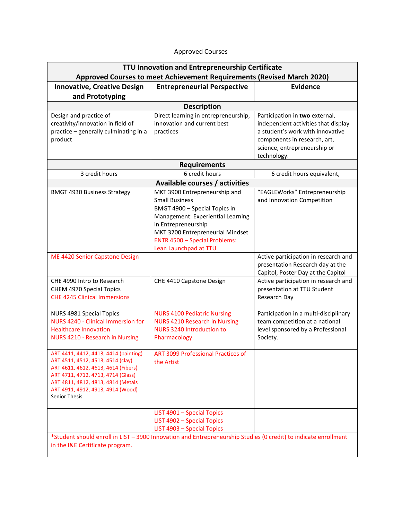| TTU Innovation and Entrepreneurship Certificate                                                                                                                                                                                                            |                                                                                                                                                                                                                                                                                            |                                                                                                                                                                           |  |  |  |
|------------------------------------------------------------------------------------------------------------------------------------------------------------------------------------------------------------------------------------------------------------|--------------------------------------------------------------------------------------------------------------------------------------------------------------------------------------------------------------------------------------------------------------------------------------------|---------------------------------------------------------------------------------------------------------------------------------------------------------------------------|--|--|--|
| Approved Courses to meet Achievement Requirements (Revised March 2020)                                                                                                                                                                                     |                                                                                                                                                                                                                                                                                            |                                                                                                                                                                           |  |  |  |
| <b>Innovative, Creative Design</b>                                                                                                                                                                                                                         | <b>Entrepreneurial Perspective</b>                                                                                                                                                                                                                                                         | <b>Evidence</b>                                                                                                                                                           |  |  |  |
| and Prototyping                                                                                                                                                                                                                                            |                                                                                                                                                                                                                                                                                            |                                                                                                                                                                           |  |  |  |
|                                                                                                                                                                                                                                                            | <b>Description</b>                                                                                                                                                                                                                                                                         |                                                                                                                                                                           |  |  |  |
| Design and practice of<br>creativity/innovation in field of<br>practice - generally culminating in a<br>product                                                                                                                                            | Direct learning in entrepreneurship,<br>innovation and current best<br>practices                                                                                                                                                                                                           | Participation in two external,<br>independent activities that display<br>a student's work with innovative<br>components in research, art,<br>science, entrepreneurship or |  |  |  |
|                                                                                                                                                                                                                                                            |                                                                                                                                                                                                                                                                                            | technology.                                                                                                                                                               |  |  |  |
|                                                                                                                                                                                                                                                            | <b>Requirements</b>                                                                                                                                                                                                                                                                        |                                                                                                                                                                           |  |  |  |
| 3 credit hours                                                                                                                                                                                                                                             | 6 credit hours                                                                                                                                                                                                                                                                             | 6 credit hours equivalent,                                                                                                                                                |  |  |  |
| <b>BMGT 4930 Business Strategy</b>                                                                                                                                                                                                                         | Available courses / activities<br>MKT 3900 Entrepreneurship and<br><b>Small Business</b><br>BMGT 4900 - Special Topics in<br>Management: Experiential Learning<br>in Entrepreneurship<br>MKT 3200 Entrepreneurial Mindset<br><b>ENTR 4500 - Special Problems:</b><br>Lean Launchpad at TTU | "EAGLEWorks" Entrepreneurship<br>and Innovation Competition                                                                                                               |  |  |  |
| ME 4420 Senior Capstone Design                                                                                                                                                                                                                             |                                                                                                                                                                                                                                                                                            | Active participation in research and<br>presentation Research day at the<br>Capitol, Poster Day at the Capitol                                                            |  |  |  |
| CHE 4990 Intro to Research<br>CHEM 4970 Special Topics<br><b>CHE 4245 Clinical Immersions</b>                                                                                                                                                              | CHE 4410 Capstone Design                                                                                                                                                                                                                                                                   | Active participation in research and<br>presentation at TTU Student<br>Research Day                                                                                       |  |  |  |
| NURS 4981 Special Topics<br>NURS 4240 - Clinical Immersion for<br><b>Healthcare Innovation</b><br><b>NURS 4210 - Research in Nursing</b>                                                                                                                   | <b>NURS 4100 Pediatric Nursing</b><br><b>NURS 4210 Research in Nursing</b><br><b>NURS 3240 Introduction to</b><br>Pharmacology                                                                                                                                                             | Participation in a multi-disciplinary<br>team competition at a national<br>level sponsored by a Professional<br>Society.                                                  |  |  |  |
| ART 4411, 4412, 4413, 4414 (painting)<br>ART 4511, 4512, 4513, 4514 (clay)<br>ART 4611, 4612, 4613, 4614 (Fibers)<br>ART 4711, 4712, 4713, 4714 (Glass)<br>ART 4811, 4812, 4813, 4814 (Metals<br>ART 4911, 4912, 4913, 4914 (Wood)<br><b>Senior Thesis</b> | <b>ART 3099 Professional Practices of</b><br>the Artist                                                                                                                                                                                                                                    |                                                                                                                                                                           |  |  |  |
|                                                                                                                                                                                                                                                            | LIST 4901 - Special Topics<br>LIST 4902 - Special Topics<br>LIST 4903 - Special Topics                                                                                                                                                                                                     |                                                                                                                                                                           |  |  |  |

# Approved Courses

\*Student should enroll in LIST – 3900 Innovation and Entrepreneurship Studies (0 credit) to indicate enrollment in the I&E Certificate program.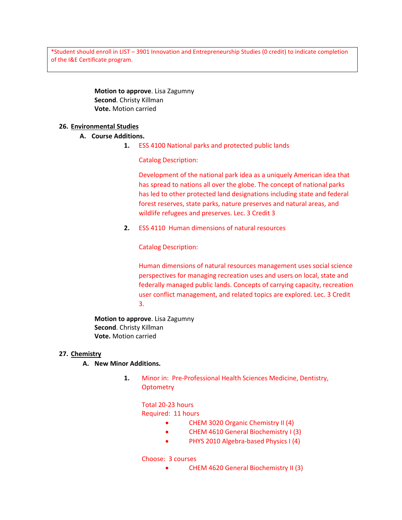\*Student should enroll in LIST – 3901 Innovation and Entrepreneurship Studies (0 credit) to indicate completion of the I&E Certificate program.

# **Motion to approve**. Lisa Zagumny **Second**. Christy Killman **Vote.** Motion carried

# **26. Environmental Studies**

# **A. Course Additions.**

**1.** ESS 4100 National parks and protected public lands

Catalog Description:

Development of the national park idea as a uniquely American idea that has spread to nations all over the globe. The concept of national parks has led to other protected land designations including state and federal forest reserves, state parks, nature preserves and natural areas, and wildlife refugees and preserves. Lec. 3 Credit 3

**2.** ESS 4110 Human dimensions of natural resources

Catalog Description:

Human dimensions of natural resources management uses social science perspectives for managing recreation uses and users on local, state and federally managed public lands. Concepts of carrying capacity, recreation user conflict management, and related topics are explored. Lec. 3 Credit 3.

**Motion to approve**. Lisa Zagumny **Second**. Christy Killman **Vote.** Motion carried

# **27. Chemistry**

# **A. New Minor Additions.**

**1.** Minor in: Pre-Professional Health Sciences Medicine, Dentistry, **Optometry** 

# Total 20-23 hours

# Required: 11 hours

- CHEM 3020 Organic Chemistry II (4)
- CHEM 4610 General Biochemistry I (3)
- PHYS 2010 Algebra-based Physics I (4)

# Choose: 3 courses

• CHEM 4620 General Biochemistry II (3)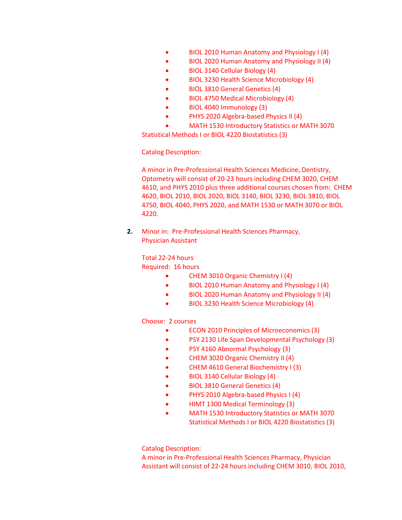- BIOL 2010 Human Anatomy and Physiology I (4)
- BIOL 2020 Human Anatomy and Physiology II (4)
- BIOL 3140 Cellular Biology (4)
- BIOL 3230 Health Science Microbiology (4)
- BIOL 3810 General Genetics (4)
- BIOL 4750 Medical Microbiology (4)
- BIOL 4040 Immunology (3)
- PHYS 2020 Algebra-based Physics II (4)
- MATH 1530 Introductory Statistics or MATH 3070

Statistical Methods I or BIOL 4220 Biostatistics (3)

Catalog Description:

A minor in Pre-Professional Health Sciences Medicine, Dentistry, Optometry will consist of 20-23 hours including CHEM 3020, CHEM 4610, and PHYS 2010 plus three additional courses chosen from: CHEM 4620, BIOL 2010, BIOL 2020, BIOL 3140, BIOL 3230, BIOL 3810, BIOL 4750, BIOL 4040, PHYS 2020, and MATH 1530 or MATH 3070 or BIOL 4220.

**2.** Minor in: Pre-Professional Health Sciences Pharmacy, Physician Assistant

Total 22-24 hours

Required: 16 hours

- CHEM 3010 Organic Chemistry I (4)
- BIOL 2010 Human Anatomy and Physiology I (4)
- BIOL 2020 Human Anatomy and Physiology II (4)
- BIOL 3230 Health Science Microbiology (4)

Choose: 2 courses

- ECON 2010 Principles of Microeconomics (3)
- PSY 2130 Life Span Developmental Psychology (3)
- PSY 4160 Abnormal Psychology (3)
- CHEM 3020 Organic Chemistry II (4)
- CHEM 4610 General Biochemistry I (3)
- BIOL 3140 Cellular Biology (4)
- BIOL 3810 General Genetics (4)
- PHYS 2010 Algebra-based Physics I (4)
- HIMT 1300 Medical Terminology (3)
- MATH 1530 Introductory Statistics or MATH 3070 Statistical Methods I or BIOL 4220 Biostatistics (3)

Catalog Description:

A minor in Pre-Professional Health Sciences Pharmacy, Physician Assistant will consist of 22-24 hours including CHEM 3010, BIOL 2010,